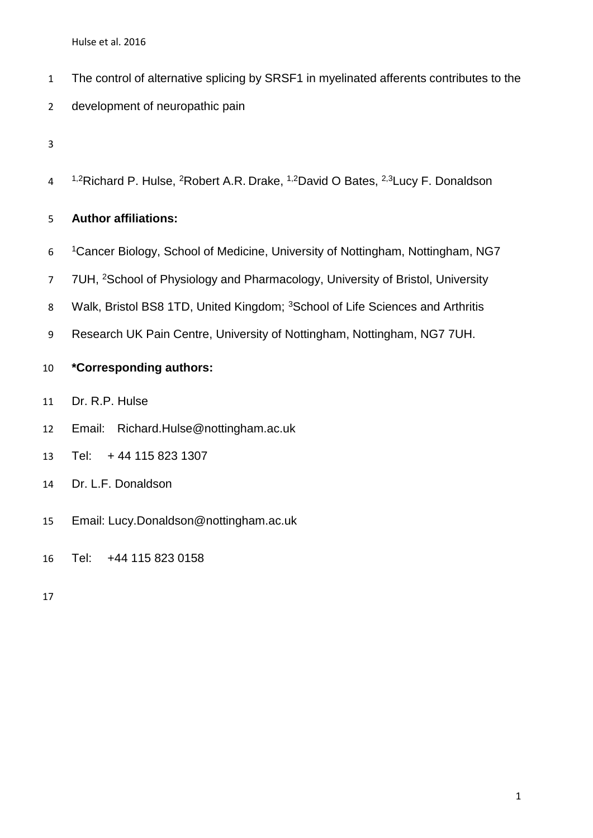- The control of alternative splicing by SRSF1 in myelinated afferents contributes to the
- development of neuropathic pain
- 
- 4 <sup>1,2</sup>Richard P. Hulse, <sup>2</sup>Robert A.R. Drake, <sup>1,2</sup>David O Bates, <sup>2,3</sup>Lucy F. Donaldson

## **Author affiliations:**

- Cancer Biology, School of Medicine, University of Nottingham, Nottingham, NG7
- 7 7UH, <sup>2</sup>School of Physiology and Pharmacology, University of Bristol, University
- 8 Walk, Bristol BS8 1TD, United Kingdom; <sup>3</sup>School of Life Sciences and Arthritis
- Research UK Pain Centre, University of Nottingham, Nottingham, NG7 7UH.

# **\*Corresponding authors:**

- Dr. R.P. Hulse
- Email: Richard.Hulse@nottingham.ac.uk
- Tel: + 44 115 823 1307
- Dr. L.F. Donaldson
- Email: Lucy.Donaldson@nottingham.ac.uk
- Tel: +44 115 823 0158
-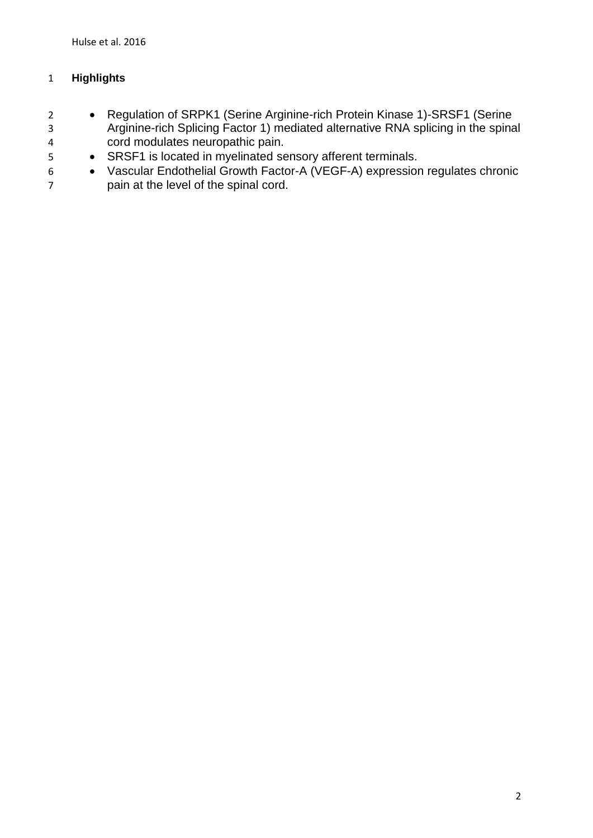## **Highlights**

- 2 Regulation of SRPK1 (Serine Arginine-rich Protein Kinase 1)-SRSF1 (Serine Arginine-rich Splicing Factor 1) mediated alternative RNA splicing in the spinal cord modulates neuropathic pain.
- 5 SRSF1 is located in myelinated sensory afferent terminals.
- Vascular Endothelial Growth Factor-A (VEGF-A) expression regulates chronic pain at the level of the spinal cord.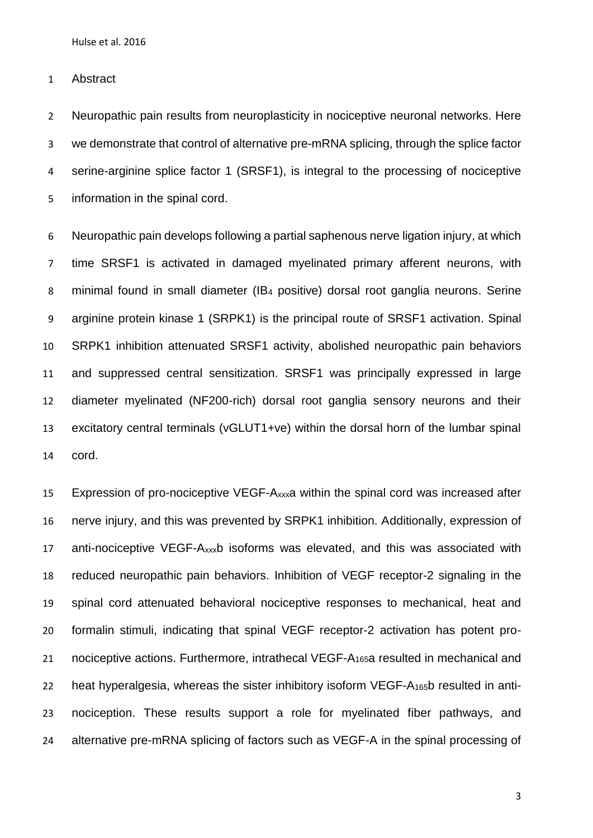Abstract

 Neuropathic pain results from neuroplasticity in nociceptive neuronal networks. Here we demonstrate that control of alternative pre-mRNA splicing, through the splice factor serine-arginine splice factor 1 (SRSF1), is integral to the processing of nociceptive information in the spinal cord.

 Neuropathic pain develops following a partial saphenous nerve ligation injury, at which time SRSF1 is activated in damaged myelinated primary afferent neurons, with minimal found in small diameter (IB<sup>4</sup> positive) dorsal root ganglia neurons. Serine arginine protein kinase 1 (SRPK1) is the principal route of SRSF1 activation. Spinal SRPK1 inhibition attenuated SRSF1 activity, abolished neuropathic pain behaviors and suppressed central sensitization. SRSF1 was principally expressed in large diameter myelinated (NF200-rich) dorsal root ganglia sensory neurons and their excitatory central terminals (vGLUT1+ve) within the dorsal horn of the lumbar spinal cord.

 Expression of pro-nociceptive VEGF-Axxxa within the spinal cord was increased after nerve injury, and this was prevented by SRPK1 inhibition. Additionally, expression of anti-nociceptive VEGF-Axxxb isoforms was elevated, and this was associated with reduced neuropathic pain behaviors. Inhibition of VEGF receptor-2 signaling in the spinal cord attenuated behavioral nociceptive responses to mechanical, heat and formalin stimuli, indicating that spinal VEGF receptor-2 activation has potent pro-21 nociceptive actions. Furthermore, intrathecal VEGF-A<sub>165</sub>a resulted in mechanical and heat hyperalgesia, whereas the sister inhibitory isoform VEGF-A165b resulted in anti- nociception. These results support a role for myelinated fiber pathways, and alternative pre-mRNA splicing of factors such as VEGF-A in the spinal processing of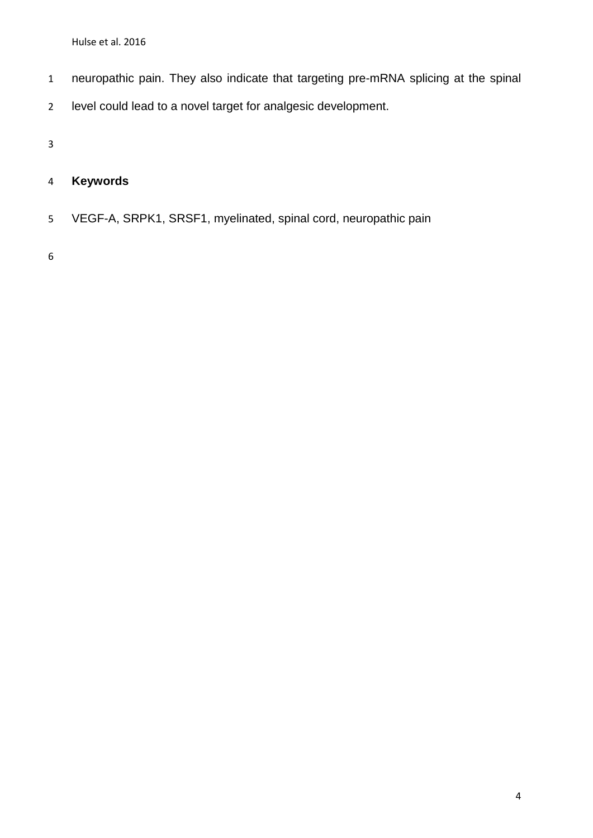- neuropathic pain. They also indicate that targeting pre-mRNA splicing at the spinal
- level could lead to a novel target for analgesic development.

# **Keywords**

VEGF-A, SRPK1, SRSF1, myelinated, spinal cord, neuropathic pain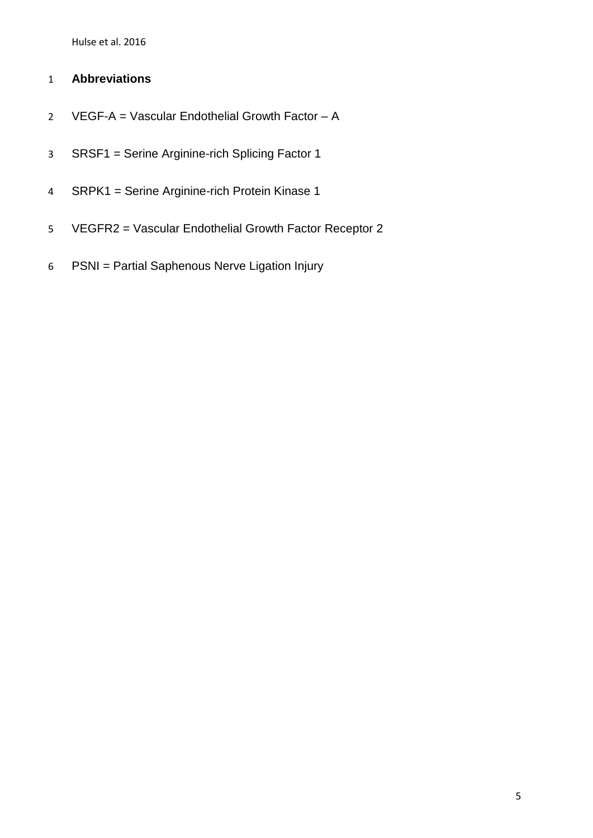# **Abbreviations**

- VEGF-A = Vascular Endothelial Growth Factor A
- SRSF1 = Serine Arginine-rich Splicing Factor 1
- SRPK1 = Serine Arginine-rich Protein Kinase 1
- VEGFR2 = Vascular Endothelial Growth Factor Receptor 2
- PSNI = Partial Saphenous Nerve Ligation Injury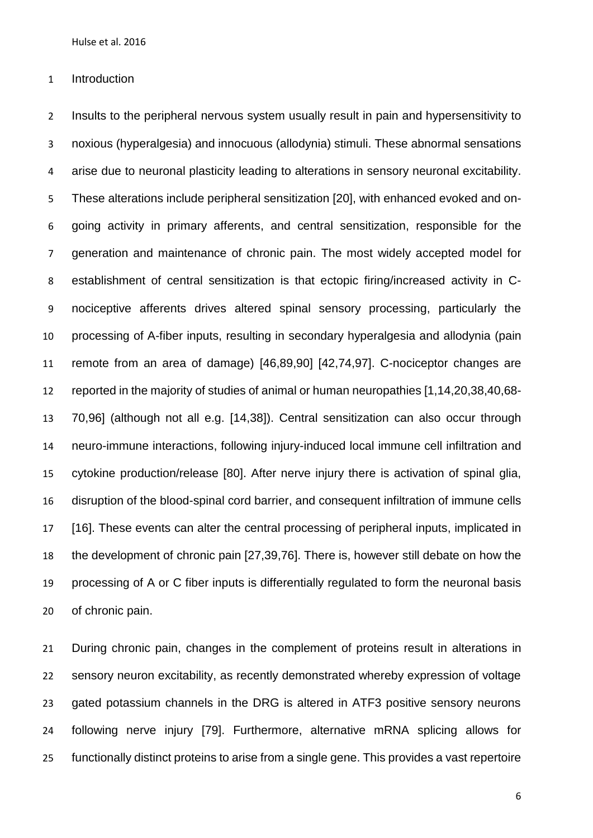Introduction

 Insults to the peripheral nervous system usually result in pain and hypersensitivity to noxious (hyperalgesia) and innocuous (allodynia) stimuli. These abnormal sensations arise due to neuronal plasticity leading to alterations in sensory neuronal excitability. These alterations include peripheral sensitization [\[20\]](#page-32-0), with enhanced evoked and on- going activity in primary afferents, and central sensitization, responsible for the generation and maintenance of chronic pain. The most widely accepted model for establishment of central sensitization is that ectopic firing/increased activity in C- nociceptive afferents drives altered spinal sensory processing, particularly the processing of A-fiber inputs, resulting in secondary hyperalgesia and allodynia (pain remote from an area of damage) [\[46](#page-36-0)[,89](#page-42-0)[,90\]](#page-42-1) [\[42](#page-35-0)[,74](#page-40-0)[,97\]](#page-43-0). C-nociceptor changes are reported in the majority of studies of animal or human neuropathies [\[1](#page-30-0)[,14,](#page-32-1)[20](#page-32-0)[,38](#page-35-1)[,40,](#page-35-2)[68-](#page-39-0) [70](#page-39-0)[,96\]](#page-43-1) (although not all e.g. [\[14,](#page-32-1)[38\]](#page-35-1)). Central sensitization can also occur through neuro-immune interactions, following injury-induced local immune cell infiltration and cytokine production/release [\[80\]](#page-40-1). After nerve injury there is activation of spinal glia, disruption of the blood-spinal cord barrier, and consequent infiltration of immune cells [\[16\]](#page-32-2). These events can alter the central processing of peripheral inputs, implicated in the development of chronic pain [\[27](#page-33-0)[,39](#page-35-3)[,76\]](#page-40-2). There is, however still debate on how the processing of A or C fiber inputs is differentially regulated to form the neuronal basis of chronic pain.

 During chronic pain, changes in the complement of proteins result in alterations in sensory neuron excitability, as recently demonstrated whereby expression of voltage 23 gated potassium channels in the DRG is altered in ATF3 positive sensory neurons following nerve injury [\[79\]](#page-40-3). Furthermore, alternative mRNA splicing allows for functionally distinct proteins to arise from a single gene. This provides a vast repertoire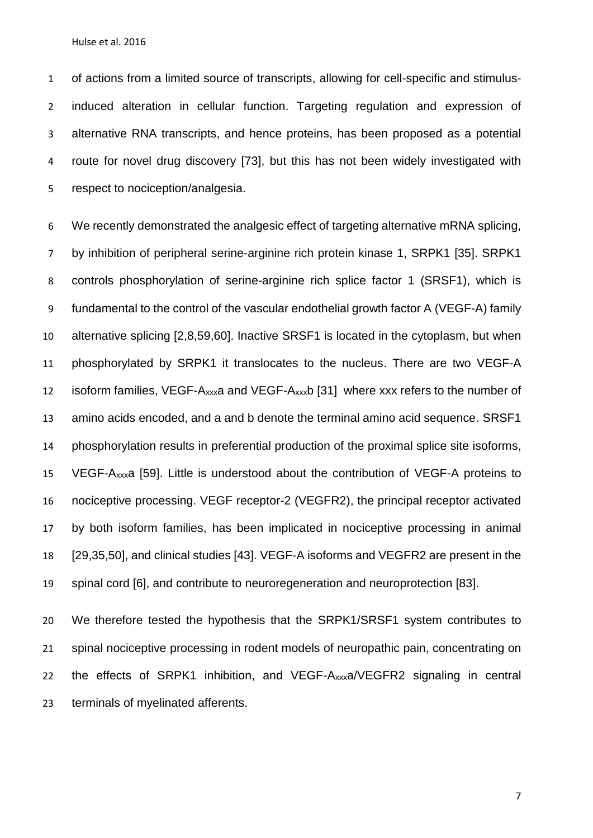of actions from a limited source of transcripts, allowing for cell-specific and stimulus- induced alteration in cellular function. Targeting regulation and expression of alternative RNA transcripts, and hence proteins, has been proposed as a potential route for novel drug discovery [\[73\]](#page-39-1), but this has not been widely investigated with respect to nociception/analgesia.

 We recently demonstrated the analgesic effect of targeting alternative mRNA splicing, by inhibition of peripheral serine-arginine rich protein kinase 1, SRPK1 [\[35\]](#page-34-0). SRPK1 controls phosphorylation of serine-arginine rich splice factor 1 (SRSF1), which is fundamental to the control of the vascular endothelial growth factor A (VEGF-A) family alternative splicing [\[2,](#page-30-1)[8,](#page-31-0)[59](#page-37-0)[,60\]](#page-38-0). Inactive SRSF1 is located in the cytoplasm, but when phosphorylated by SRPK1 it translocates to the nucleus. There are two VEGF-A isoform families, VEGF-Axxxa and VEGF-Axxxb [\[31\]](#page-34-1) where xxx refers to the number of amino acids encoded, and a and b denote the terminal amino acid sequence. SRSF1 phosphorylation results in preferential production of the proximal splice site isoforms, VEGF-Axxxa [\[59\]](#page-37-0). Little is understood about the contribution of VEGF-A proteins to nociceptive processing. VEGF receptor-2 (VEGFR2), the principal receptor activated by both isoform families, has been implicated in nociceptive processing in animal [\[29,](#page-33-1)[35](#page-34-0)[,50\]](#page-36-1), and clinical studies [\[43\]](#page-35-4). VEGF-A isoforms and VEGFR2 are present in the spinal cord [\[6\]](#page-30-2), and contribute to neuroregeneration and neuroprotection [\[83\]](#page-41-0).

 We therefore tested the hypothesis that the SRPK1/SRSF1 system contributes to spinal nociceptive processing in rodent models of neuropathic pain, concentrating on the effects of SRPK1 inhibition, and VEGF-Axxxa/VEGFR2 signaling in central terminals of myelinated afferents.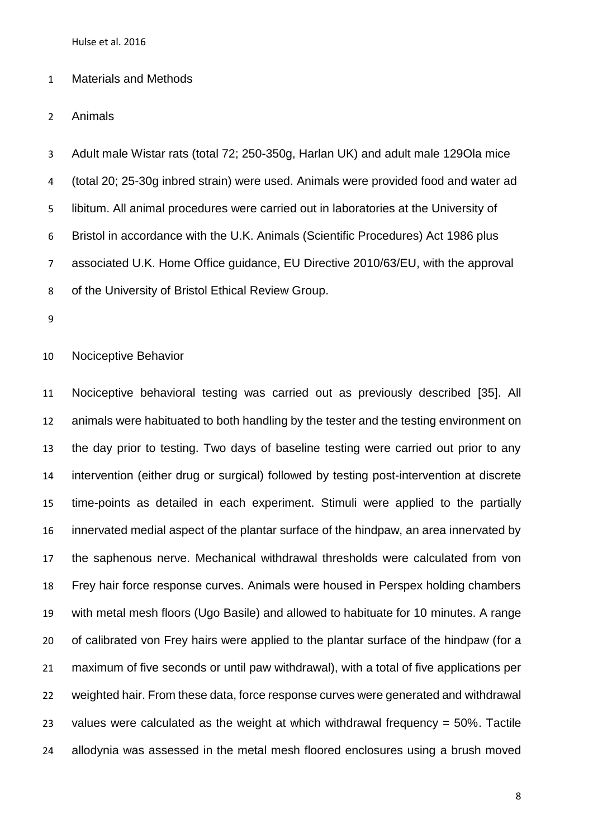## Materials and Methods

Animals

 Adult male Wistar rats (total 72; 250-350g, Harlan UK) and adult male 129Ola mice (total 20; 25-30g inbred strain) were used. Animals were provided food and water ad libitum. All animal procedures were carried out in laboratories at the University of Bristol in accordance with the U.K. Animals (Scientific Procedures) Act 1986 plus associated U.K. Home Office guidance, EU Directive 2010/63/EU, with the approval of the University of Bristol Ethical Review Group.

Nociceptive Behavior

 Nociceptive behavioral testing was carried out as previously described [\[35\]](#page-34-0). All animals were habituated to both handling by the tester and the testing environment on the day prior to testing. Two days of baseline testing were carried out prior to any intervention (either drug or surgical) followed by testing post-intervention at discrete time-points as detailed in each experiment. Stimuli were applied to the partially innervated medial aspect of the plantar surface of the hindpaw, an area innervated by the saphenous nerve. Mechanical withdrawal thresholds were calculated from von Frey hair force response curves. Animals were housed in Perspex holding chambers with metal mesh floors (Ugo Basile) and allowed to habituate for 10 minutes. A range of calibrated von Frey hairs were applied to the plantar surface of the hindpaw (for a maximum of five seconds or until paw withdrawal), with a total of five applications per weighted hair. From these data, force response curves were generated and withdrawal values were calculated as the weight at which withdrawal frequency = 50%. Tactile allodynia was assessed in the metal mesh floored enclosures using a brush moved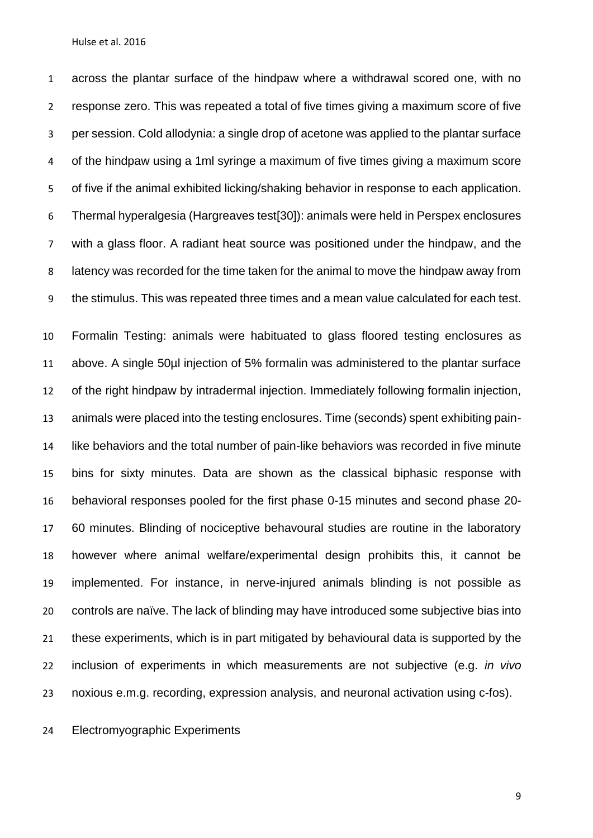across the plantar surface of the hindpaw where a withdrawal scored one, with no response zero. This was repeated a total of five times giving a maximum score of five per session. Cold allodynia: a single drop of acetone was applied to the plantar surface of the hindpaw using a 1ml syringe a maximum of five times giving a maximum score of five if the animal exhibited licking/shaking behavior in response to each application. Thermal hyperalgesia (Hargreaves test[\[30\]](#page-34-2)): animals were held in Perspex enclosures with a glass floor. A radiant heat source was positioned under the hindpaw, and the latency was recorded for the time taken for the animal to move the hindpaw away from the stimulus. This was repeated three times and a mean value calculated for each test.

 Formalin Testing: animals were habituated to glass floored testing enclosures as above. A single 50µl injection of 5% formalin was administered to the plantar surface of the right hindpaw by intradermal injection. Immediately following formalin injection, animals were placed into the testing enclosures. Time (seconds) spent exhibiting pain- like behaviors and the total number of pain-like behaviors was recorded in five minute bins for sixty minutes. Data are shown as the classical biphasic response with behavioral responses pooled for the first phase 0-15 minutes and second phase 20- 60 minutes. Blinding of nociceptive behavoural studies are routine in the laboratory however where animal welfare/experimental design prohibits this, it cannot be implemented. For instance, in nerve-injured animals blinding is not possible as controls are naïve. The lack of blinding may have introduced some subjective bias into these experiments, which is in part mitigated by behavioural data is supported by the inclusion of experiments in which measurements are not subjective (e.g. *in vivo* noxious e.m.g. recording, expression analysis, and neuronal activation using c-fos).

Electromyographic Experiments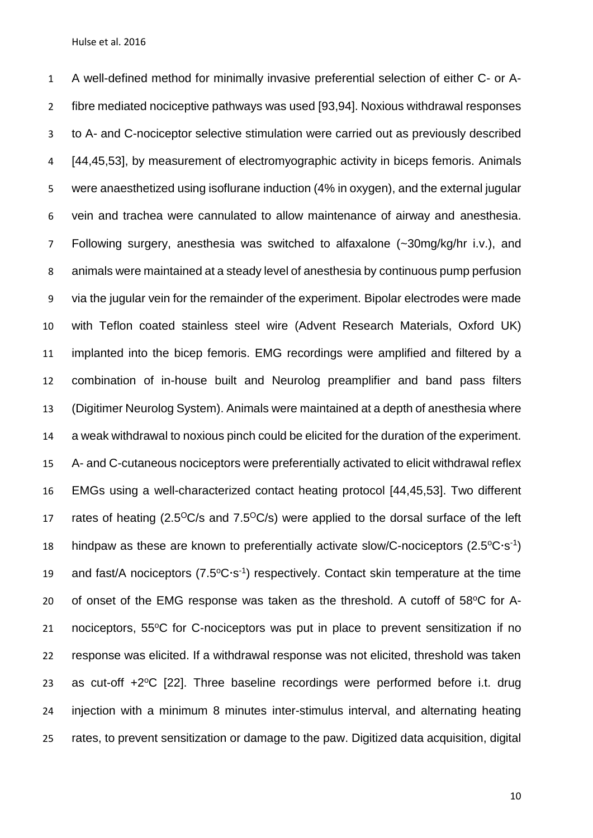A well-defined method for minimally invasive preferential selection of either C- or A- fibre mediated nociceptive pathways was used [\[93](#page-42-2)[,94\]](#page-42-3). Noxious withdrawal responses to A- and C-nociceptor selective stimulation were carried out as previously described [\[44,](#page-35-5)[45](#page-35-6)[,53\]](#page-37-1), by measurement of electromyographic activity in biceps femoris. Animals were anaesthetized using isoflurane induction (4% in oxygen), and the external jugular vein and trachea were cannulated to allow maintenance of airway and anesthesia. Following surgery, anesthesia was switched to alfaxalone (~30mg/kg/hr i.v.), and animals were maintained at a steady level of anesthesia by continuous pump perfusion via the jugular vein for the remainder of the experiment. Bipolar electrodes were made with Teflon coated stainless steel wire (Advent Research Materials, Oxford UK) implanted into the bicep femoris. EMG recordings were amplified and filtered by a combination of in-house built and Neurolog preamplifier and band pass filters (Digitimer Neurolog System). Animals were maintained at a depth of anesthesia where a weak withdrawal to noxious pinch could be elicited for the duration of the experiment. A- and C-cutaneous nociceptors were preferentially activated to elicit withdrawal reflex EMGs using a well-characterized contact heating protocol [\[44](#page-35-5)[,45,](#page-35-6)[53\]](#page-37-1). Two different 17 rates of heating  $(2.5^{\circ}\text{C/s}$  and  $7.5^{\circ}\text{C/s}$ ) were applied to the dorsal surface of the left 18 hindpaw as these are known to preferentially activate slow/C-nociceptors  $(2.5^{\circ}C \cdot s^{-1})$ 19 and fast/A nociceptors  $(7.5^{\circ}C \cdot s^{-1})$  respectively. Contact skin temperature at the time of onset of the EMG response was taken as the threshold. A cutoff of  $58^{\circ}$ C for A- nociceptors,  $55^{\circ}$ C for C-nociceptors was put in place to prevent sensitization if no response was elicited. If a withdrawal response was not elicited, threshold was taken 23 as cut-off  $+2$  <sup>o</sup>C [\[22\]](#page-32-3). Three baseline recordings were performed before i.t. drug injection with a minimum 8 minutes inter-stimulus interval, and alternating heating rates, to prevent sensitization or damage to the paw. Digitized data acquisition, digital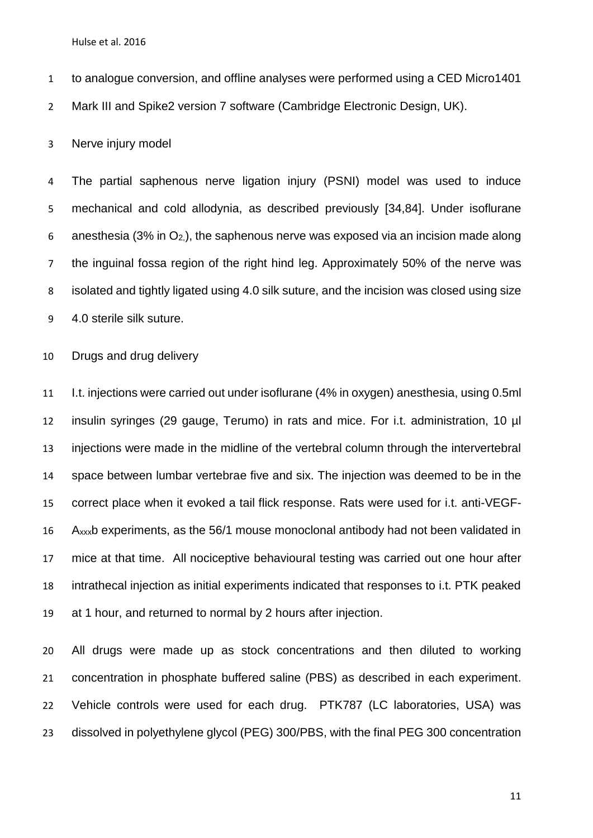to analogue conversion, and offline analyses were performed using a CED Micro1401

Mark III and Spike2 version 7 software (Cambridge Electronic Design, UK).

Nerve injury model

 The partial saphenous nerve ligation injury (PSNI) model was used to induce mechanical and cold allodynia, as described previously [\[34](#page-34-3)[,84\]](#page-41-1). Under isoflurane 6 anesthesia (3% in  $O_2$ ), the saphenous nerve was exposed via an incision made along the inguinal fossa region of the right hind leg. Approximately 50% of the nerve was isolated and tightly ligated using 4.0 silk suture, and the incision was closed using size 4.0 sterile silk suture.

Drugs and drug delivery

 I.t. injections were carried out under isoflurane (4% in oxygen) anesthesia, using 0.5ml insulin syringes (29 gauge, Terumo) in rats and mice. For i.t. administration, 10 µl injections were made in the midline of the vertebral column through the intervertebral space between lumbar vertebrae five and six. The injection was deemed to be in the correct place when it evoked a tail flick response. Rats were used for i.t. anti-VEGF- Axxxb experiments, as the 56/1 mouse monoclonal antibody had not been validated in mice at that time. All nociceptive behavioural testing was carried out one hour after intrathecal injection as initial experiments indicated that responses to i.t. PTK peaked at 1 hour, and returned to normal by 2 hours after injection.

 All drugs were made up as stock concentrations and then diluted to working concentration in phosphate buffered saline (PBS) as described in each experiment. Vehicle controls were used for each drug. PTK787 (LC laboratories, USA) was dissolved in polyethylene glycol (PEG) 300/PBS, with the final PEG 300 concentration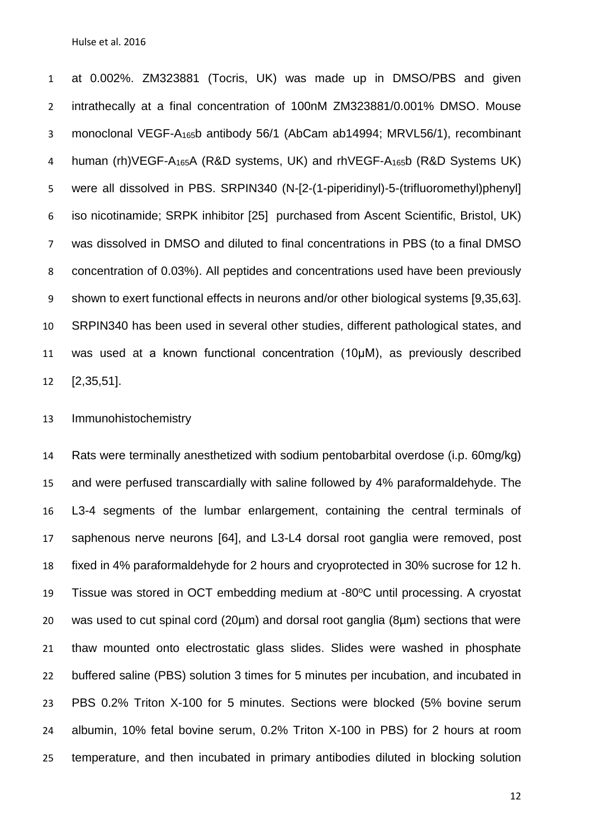at 0.002%. ZM323881 (Tocris, UK) was made up in DMSO/PBS and given intrathecally at a final concentration of 100nM ZM323881/0.001% DMSO. Mouse monoclonal VEGF-A165b antibody 56/1 (AbCam ab14994; MRVL56/1), recombinant 4 human (rh) VEGF-A<sub>165</sub>A (R&D systems, UK) and rh VEGF-A<sub>165</sub>b (R&D Systems UK) were all dissolved in PBS. SRPIN340 (N-[2-(1-piperidinyl)-5-(trifluoromethyl)phenyl] iso nicotinamide; SRPK inhibitor [\[25\]](#page-33-2) purchased from Ascent Scientific, Bristol, UK) was dissolved in DMSO and diluted to final concentrations in PBS (to a final DMSO concentration of 0.03%). All peptides and concentrations used have been previously shown to exert functional effects in neurons and/or other biological systems [\[9](#page-31-1)[,35](#page-34-0)[,63\]](#page-38-1). SRPIN340 has been used in several other studies, different pathological states, and 11 was used at a known functional concentration (10µM), as previously described [\[2](#page-30-1)[,35,](#page-34-0)[51\]](#page-36-2).

Immunohistochemistry

 Rats were terminally anesthetized with sodium pentobarbital overdose (i.p. 60mg/kg) and were perfused transcardially with saline followed by 4% paraformaldehyde. The L3-4 segments of the lumbar enlargement, containing the central terminals of saphenous nerve neurons [\[64\]](#page-38-2), and L3-L4 dorsal root ganglia were removed, post fixed in 4% paraformaldehyde for 2 hours and cryoprotected in 30% sucrose for 12 h. 19 Tissue was stored in OCT embedding medium at -80°C until processing. A cryostat was used to cut spinal cord (20µm) and dorsal root ganglia (8µm) sections that were thaw mounted onto electrostatic glass slides. Slides were washed in phosphate buffered saline (PBS) solution 3 times for 5 minutes per incubation, and incubated in PBS 0.2% Triton X-100 for 5 minutes. Sections were blocked (5% bovine serum albumin, 10% fetal bovine serum, 0.2% Triton X-100 in PBS) for 2 hours at room temperature, and then incubated in primary antibodies diluted in blocking solution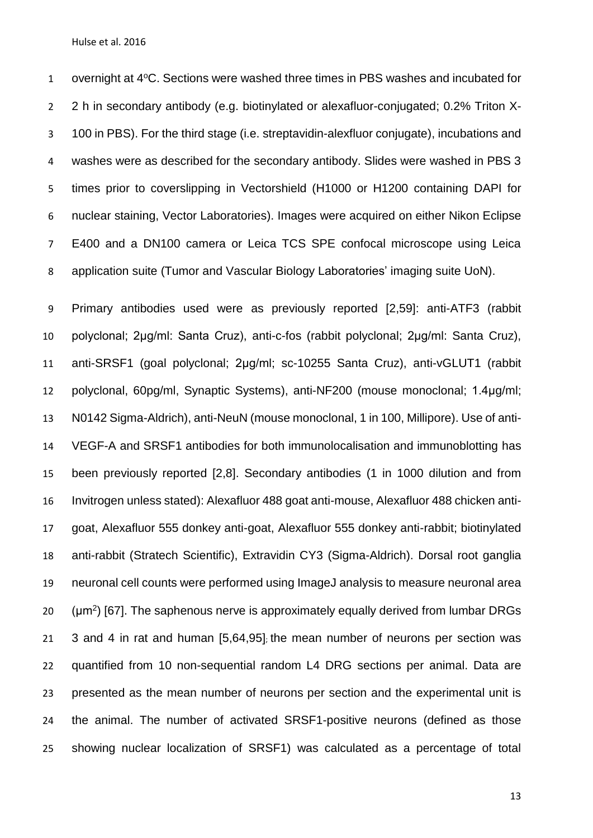1 overnight at 4°C. Sections were washed three times in PBS washes and incubated for 2 h in secondary antibody (e.g. biotinylated or alexafluor-conjugated; 0.2% Triton X- 100 in PBS). For the third stage (i.e. streptavidin-alexfluor conjugate), incubations and washes were as described for the secondary antibody. Slides were washed in PBS 3 times prior to coverslipping in Vectorshield (H1000 or H1200 containing DAPI for nuclear staining, Vector Laboratories). Images were acquired on either Nikon Eclipse E400 and a DN100 camera or Leica TCS SPE confocal microscope using Leica application suite (Tumor and Vascular Biology Laboratories' imaging suite UoN).

 Primary antibodies used were as previously reported [\[2](#page-30-1)[,59\]](#page-37-0): anti-ATF3 (rabbit polyclonal; 2μg/ml: Santa Cruz), anti-c-fos (rabbit polyclonal; 2μg/ml: Santa Cruz), anti-SRSF1 (goal polyclonal; 2μg/ml; sc-10255 Santa Cruz), anti-vGLUT1 (rabbit polyclonal, 60pg/ml, Synaptic Systems), anti-NF200 (mouse monoclonal; 1.4μg/ml; N0142 Sigma-Aldrich), anti-NeuN (mouse monoclonal, 1 in 100, Millipore). Use of anti- VEGF-A and SRSF1 antibodies for both immunolocalisation and immunoblotting has been previously reported [\[2](#page-30-1)[,8\]](#page-31-0). Secondary antibodies (1 in 1000 dilution and from Invitrogen unless stated): Alexafluor 488 goat anti-mouse, Alexafluor 488 chicken anti- goat, Alexafluor 555 donkey anti-goat, Alexafluor 555 donkey anti-rabbit; biotinylated anti-rabbit (Stratech Scientific), Extravidin CY3 (Sigma-Aldrich). Dorsal root ganglia neuronal cell counts were performed using ImageJ analysis to measure neuronal area ( $\mu$ m<sup>2</sup>) [\[67\]](#page-39-2). The saphenous nerve is approximately equally derived from lumbar DRGs 3 and 4 in rat and human [\[5](#page-30-3)[,64,](#page-38-2)[95\]](#page-43-2); the mean number of neurons per section was quantified from 10 non-sequential random L4 DRG sections per animal. Data are presented as the mean number of neurons per section and the experimental unit is the animal. The number of activated SRSF1-positive neurons (defined as those showing nuclear localization of SRSF1) was calculated as a percentage of total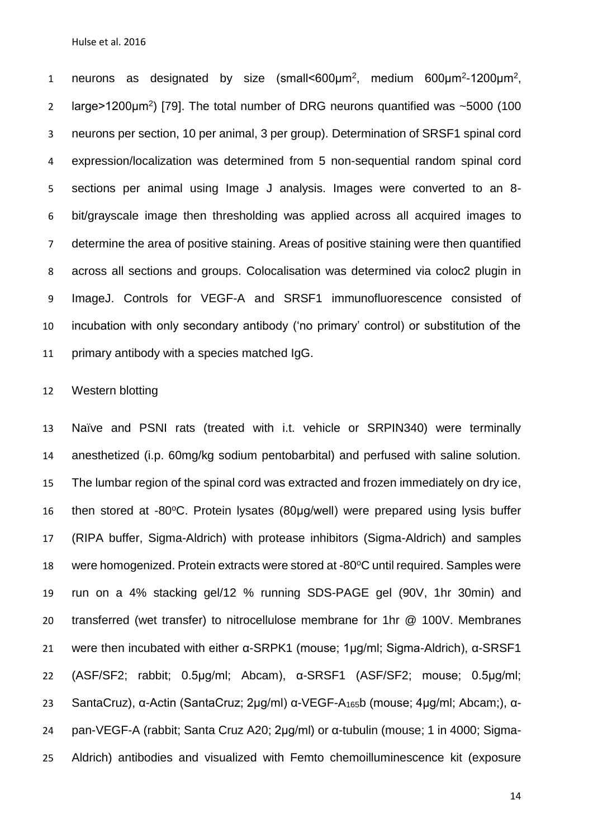1 neurons as designated by size (small<600 $\mu$ m<sup>2</sup>, medium 600 $\mu$ m<sup>2</sup>-1200 $\mu$ m<sup>2</sup>, 2 large>1200 $\mu$ m<sup>2</sup>) [\[79\]](#page-40-3). The total number of DRG neurons quantified was  $\sim$ 5000 (100 neurons per section, 10 per animal, 3 per group). Determination of SRSF1 spinal cord expression/localization was determined from 5 non-sequential random spinal cord sections per animal using Image J analysis. Images were converted to an 8- bit/grayscale image then thresholding was applied across all acquired images to determine the area of positive staining. Areas of positive staining were then quantified across all sections and groups. Colocalisation was determined via coloc2 plugin in ImageJ. Controls for VEGF-A and SRSF1 immunofluorescence consisted of incubation with only secondary antibody ('no primary' control) or substitution of the primary antibody with a species matched IgG.

### Western blotting

 Naïve and PSNI rats (treated with i.t. vehicle or SRPIN340) were terminally anesthetized (i.p. 60mg/kg sodium pentobarbital) and perfused with saline solution. The lumbar region of the spinal cord was extracted and frozen immediately on dry ice, 16 then stored at -80 $\degree$ C. Protein lysates (80µg/well) were prepared using lysis buffer (RIPA buffer, Sigma-Aldrich) with protease inhibitors (Sigma-Aldrich) and samples 18 were homogenized. Protein extracts were stored at -80°C until required. Samples were run on a 4% stacking gel/12 % running SDS-PAGE gel (90V, 1hr 30min) and transferred (wet transfer) to nitrocellulose membrane for 1hr @ 100V. Membranes were then incubated with either α-SRPK1 (mouse; 1μg/ml; Sigma-Aldrich), α-SRSF1 (ASF/SF2; rabbit; 0.5μg/ml; Abcam), α-SRSF1 (ASF/SF2; mouse; 0.5μg/ml; SantaCruz), α-Actin (SantaCruz; 2μg/ml) α-VEGF-A165b (mouse; 4μg/ml; Abcam;), α- pan-VEGF-A (rabbit; Santa Cruz A20; 2μg/ml) or α-tubulin (mouse; 1 in 4000; Sigma-Aldrich) antibodies and visualized with Femto chemoilluminescence kit (exposure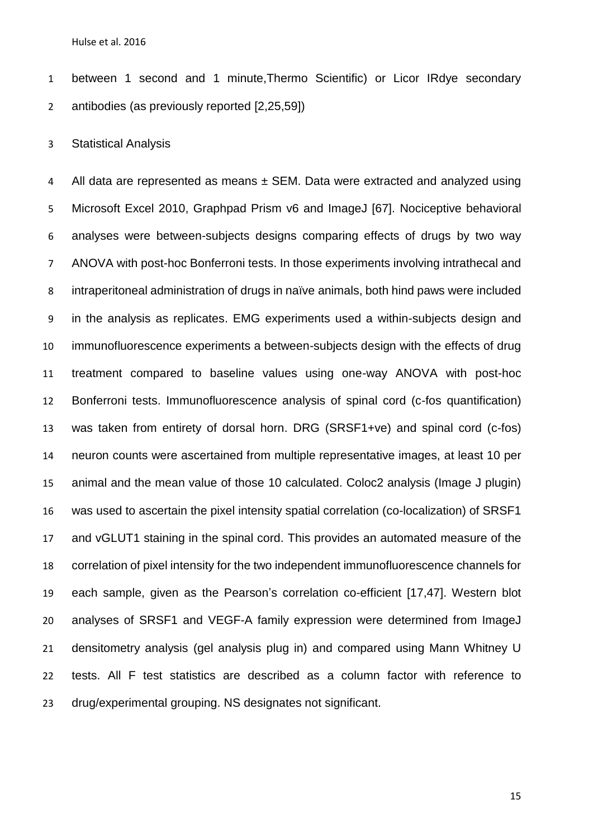between 1 second and 1 minute,Thermo Scientific) or Licor IRdye secondary antibodies (as previously reported [\[2,](#page-30-1)[25](#page-33-2)[,59\]](#page-37-0))

Statistical Analysis

4 All data are represented as means ± SEM. Data were extracted and analyzed using Microsoft Excel 2010, Graphpad Prism v6 and ImageJ [\[67\]](#page-39-2). Nociceptive behavioral analyses were between-subjects designs comparing effects of drugs by two way ANOVA with post-hoc Bonferroni tests. In those experiments involving intrathecal and intraperitoneal administration of drugs in naïve animals, both hind paws were included in the analysis as replicates. EMG experiments used a within-subjects design and immunofluorescence experiments a between-subjects design with the effects of drug treatment compared to baseline values using one-way ANOVA with post-hoc Bonferroni tests. Immunofluorescence analysis of spinal cord (c-fos quantification) was taken from entirety of dorsal horn. DRG (SRSF1+ve) and spinal cord (c-fos) neuron counts were ascertained from multiple representative images, at least 10 per animal and the mean value of those 10 calculated. Coloc2 analysis (Image J plugin) was used to ascertain the pixel intensity spatial correlation (co-localization) of SRSF1 and vGLUT1 staining in the spinal cord. This provides an automated measure of the correlation of pixel intensity for the two independent immunofluorescence channels for each sample, given as the Pearson's correlation co-efficient [\[17](#page-32-4)[,47\]](#page-36-3). Western blot analyses of SRSF1 and VEGF-A family expression were determined from ImageJ densitometry analysis (gel analysis plug in) and compared using Mann Whitney U tests. All F test statistics are described as a column factor with reference to drug/experimental grouping. NS designates not significant.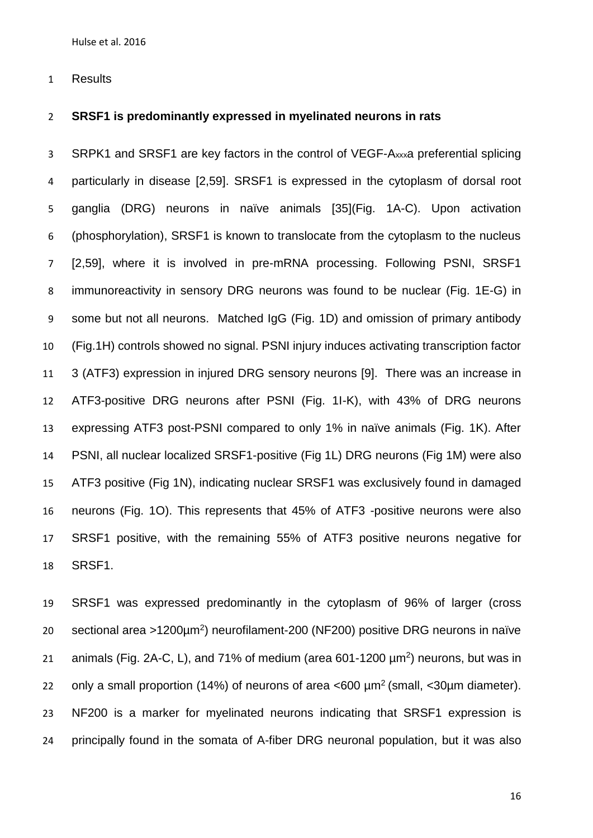Results

### **SRSF1 is predominantly expressed in myelinated neurons in rats**

3 SRPK1 and SRSF1 are key factors in the control of VEGF-A<sub>xxx</sub>a preferential splicing particularly in disease [\[2,](#page-30-1)[59\]](#page-37-0). SRSF1 is expressed in the cytoplasm of dorsal root ganglia (DRG) neurons in naïve animals [\[35\]](#page-34-0)(Fig. 1A-C). Upon activation (phosphorylation), SRSF1 is known to translocate from the cytoplasm to the nucleus [\[2](#page-30-1)[,59\]](#page-37-0), where it is involved in pre-mRNA processing. Following PSNI, SRSF1 immunoreactivity in sensory DRG neurons was found to be nuclear (Fig. 1E-G) in some but not all neurons. Matched IgG (Fig. 1D) and omission of primary antibody (Fig.1H) controls showed no signal. PSNI injury induces activating transcription factor 3 (ATF3) expression in injured DRG sensory neurons [\[9\]](#page-31-1). There was an increase in ATF3-positive DRG neurons after PSNI (Fig. 1I-K), with 43% of DRG neurons expressing ATF3 post-PSNI compared to only 1% in naïve animals (Fig. 1K). After PSNI, all nuclear localized SRSF1-positive (Fig 1L) DRG neurons (Fig 1M) were also ATF3 positive (Fig 1N), indicating nuclear SRSF1 was exclusively found in damaged neurons (Fig. 1O). This represents that 45% of ATF3 -positive neurons were also SRSF1 positive, with the remaining 55% of ATF3 positive neurons negative for SRSF1.

 SRSF1 was expressed predominantly in the cytoplasm of 96% of larger (cross sectional area >1200μm<sup>2</sup>) neurofilament-200 (NF200) positive DRG neurons in naïve 21 animals (Fig. 2A-C, L), and 71% of medium (area  $601-1200 \mu m^2$ ) neurons, but was in 22 only a small proportion (14%) of neurons of area  $<600 \mu m^2$  (small,  $<30 \mu m$  diameter). NF200 is a marker for myelinated neurons indicating that SRSF1 expression is principally found in the somata of A-fiber DRG neuronal population, but it was also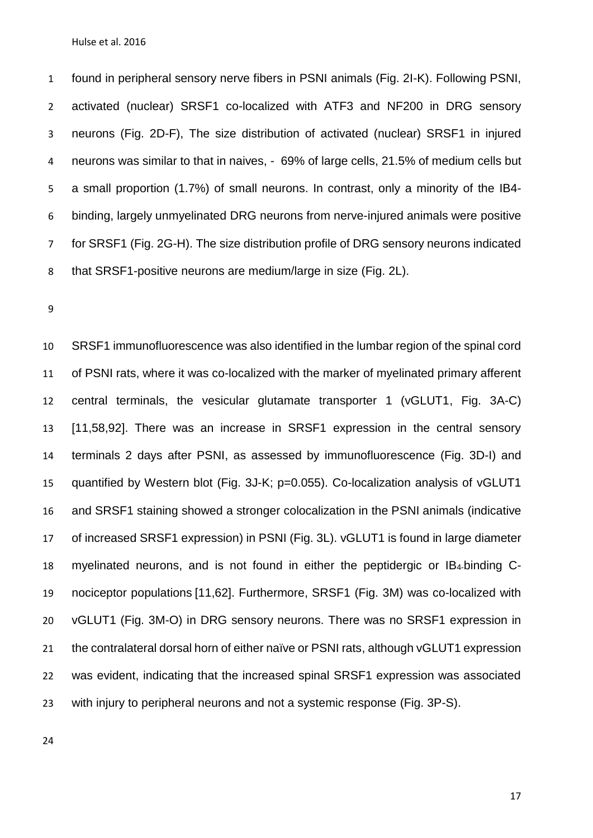found in peripheral sensory nerve fibers in PSNI animals (Fig. 2I-K). Following PSNI, activated (nuclear) SRSF1 co-localized with ATF3 and NF200 in DRG sensory neurons (Fig. 2D-F), The size distribution of activated (nuclear) SRSF1 in injured neurons was similar to that in naives, - 69% of large cells, 21.5% of medium cells but a small proportion (1.7%) of small neurons. In contrast, only a minority of the IB4- binding, largely unmyelinated DRG neurons from nerve-injured animals were positive for SRSF1 (Fig. 2G-H). The size distribution profile of DRG sensory neurons indicated that SRSF1-positive neurons are medium/large in size (Fig. 2L).

 SRSF1 immunofluorescence was also identified in the lumbar region of the spinal cord of PSNI rats, where it was co-localized with the marker of myelinated primary afferent central terminals, the vesicular glutamate transporter 1 (vGLUT1, Fig. 3A-C) [\[11,](#page-31-2)[58](#page-37-2)[,92\]](#page-42-4). There was an increase in SRSF1 expression in the central sensory terminals 2 days after PSNI, as assessed by immunofluorescence (Fig. 3D-I) and quantified by Western blot (Fig. 3J-K; p=0.055). Co-localization analysis of vGLUT1 and SRSF1 staining showed a stronger colocalization in the PSNI animals (indicative of increased SRSF1 expression) in PSNI (Fig. 3L). vGLUT1 is found in large diameter myelinated neurons, and is not found in either the peptidergic or IB4-binding C- nociceptor populations [\[11](#page-31-2)[,62\]](#page-38-3). Furthermore, SRSF1 (Fig. 3M) was co-localized with vGLUT1 (Fig. 3M-O) in DRG sensory neurons. There was no SRSF1 expression in 21 the contralateral dorsal horn of either naïve or PSNI rats, although vGLUT1 expression was evident, indicating that the increased spinal SRSF1 expression was associated with injury to peripheral neurons and not a systemic response (Fig. 3P-S).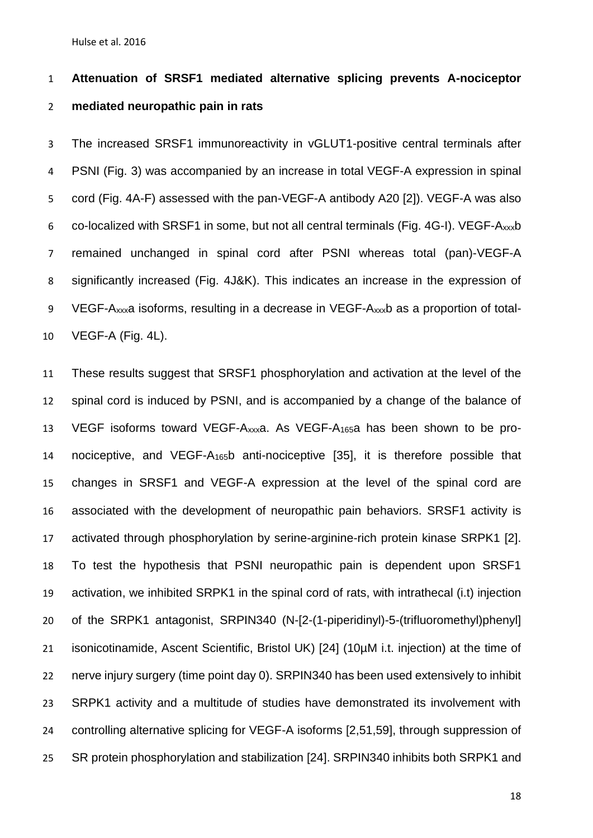# **Attenuation of SRSF1 mediated alternative splicing prevents A-nociceptor mediated neuropathic pain in rats**

 The increased SRSF1 immunoreactivity in vGLUT1-positive central terminals after PSNI (Fig. 3) was accompanied by an increase in total VEGF-A expression in spinal cord (Fig. 4A-F) assessed with the pan-VEGF-A antibody A20 [\[2\]](#page-30-1)). VEGF-A was also co-localized with SRSF1 in some, but not all central terminals (Fig. 4G-I). VEGF-Axxxb remained unchanged in spinal cord after PSNI whereas total (pan)-VEGF-A significantly increased (Fig. 4J&K). This indicates an increase in the expression of VEGF-Axxxa isoforms, resulting in a decrease in VEGF-Axxxb as a proportion of total-VEGF-A (Fig. 4L).

 These results suggest that SRSF1 phosphorylation and activation at the level of the spinal cord is induced by PSNI, and is accompanied by a change of the balance of VEGF isoforms toward VEGF-Axxxa. As VEGF-A165a has been shown to be pro- nociceptive, and VEGF-A165b anti-nociceptive [\[35\]](#page-34-0), it is therefore possible that changes in SRSF1 and VEGF-A expression at the level of the spinal cord are associated with the development of neuropathic pain behaviors. SRSF1 activity is activated through phosphorylation by serine-arginine-rich protein kinase SRPK1 [\[2\]](#page-30-1). To test the hypothesis that PSNI neuropathic pain is dependent upon SRSF1 activation, we inhibited SRPK1 in the spinal cord of rats, with intrathecal (i.t) injection of the SRPK1 antagonist, SRPIN340 (N-[2-(1-piperidinyl)-5-(trifluoromethyl)phenyl] isonicotinamide, Ascent Scientific, Bristol UK) [\[24\]](#page-33-3) (10µM i.t. injection) at the time of nerve injury surgery (time point day 0). SRPIN340 has been used extensively to inhibit SRPK1 activity and a multitude of studies have demonstrated its involvement with controlling alternative splicing for VEGF-A isoforms [\[2](#page-30-1)[,51](#page-36-2)[,59\]](#page-37-0), through suppression of SR protein phosphorylation and stabilization [\[24\]](#page-33-3). SRPIN340 inhibits both SRPK1 and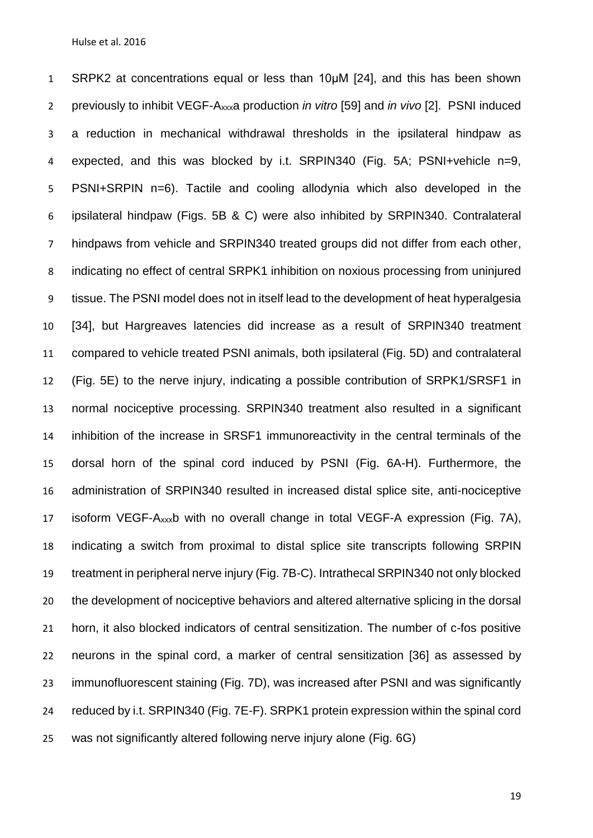SRPK2 at concentrations equal or less than 10μM [\[24\]](#page-33-3), and this has been shown previously to inhibit VEGF-Axxxa production *in vitro* [\[59\]](#page-37-0) and *in vivo* [\[2\]](#page-30-1). PSNI induced a reduction in mechanical withdrawal thresholds in the ipsilateral hindpaw as expected, and this was blocked by i.t. SRPIN340 (Fig. 5A; PSNI+vehicle n=9, PSNI+SRPIN n=6). Tactile and cooling allodynia which also developed in the ipsilateral hindpaw (Figs. 5B & C) were also inhibited by SRPIN340. Contralateral hindpaws from vehicle and SRPIN340 treated groups did not differ from each other, indicating no effect of central SRPK1 inhibition on noxious processing from uninjured tissue. The PSNI model does not in itself lead to the development of heat hyperalgesia [\[34\]](#page-34-3), but Hargreaves latencies did increase as a result of SRPIN340 treatment compared to vehicle treated PSNI animals, both ipsilateral (Fig. 5D) and contralateral (Fig. 5E) to the nerve injury, indicating a possible contribution of SRPK1/SRSF1 in normal nociceptive processing. SRPIN340 treatment also resulted in a significant inhibition of the increase in SRSF1 immunoreactivity in the central terminals of the dorsal horn of the spinal cord induced by PSNI (Fig. 6A-H). Furthermore, the administration of SRPIN340 resulted in increased distal splice site, anti-nociceptive isoform VEGF-Axxxb with no overall change in total VEGF-A expression (Fig. 7A), indicating a switch from proximal to distal splice site transcripts following SRPIN treatment in peripheral nerve injury (Fig. 7B-C). Intrathecal SRPIN340 not only blocked the development of nociceptive behaviors and altered alternative splicing in the dorsal horn, it also blocked indicators of central sensitization. The number of c-fos positive neurons in the spinal cord, a marker of central sensitization [\[36\]](#page-34-4) as assessed by immunofluorescent staining (Fig. 7D), was increased after PSNI and was significantly reduced by i.t. SRPIN340 (Fig. 7E-F). SRPK1 protein expression within the spinal cord was not significantly altered following nerve injury alone (Fig. 6G)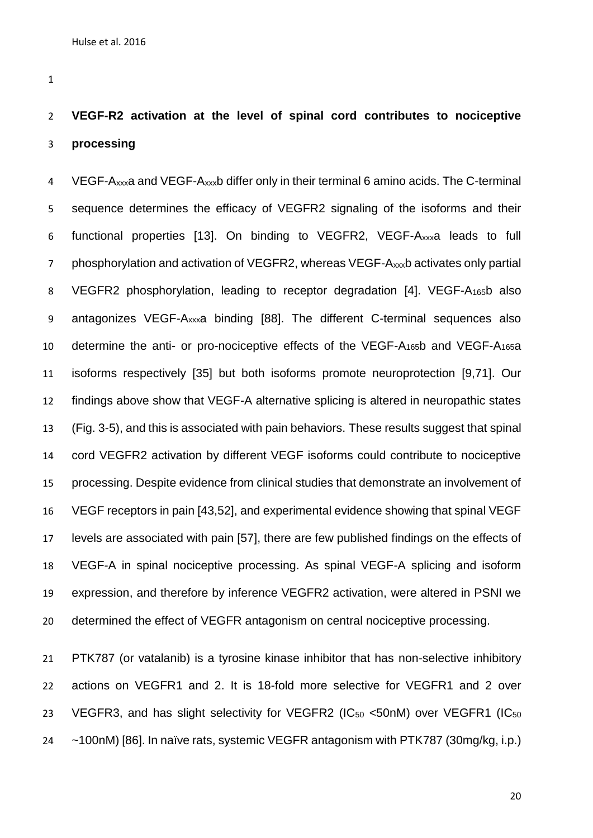# **VEGF-R2 activation at the level of spinal cord contributes to nociceptive processing**

4 VEGF-Axxxa and VEGF-Axxxb differ only in their terminal 6 amino acids. The C-terminal sequence determines the efficacy of VEGFR2 signaling of the isoforms and their functional properties [\[13\]](#page-31-3). On binding to VEGFR2, VEGF-Axxxa leads to full phosphorylation and activation of VEGFR2, whereas VEGF-Axxxb activates only partial VEGFR2 phosphorylation, leading to receptor degradation [\[4\]](#page-30-4). VEGF-A165b also antagonizes VEGF-Axxxa binding [\[88\]](#page-42-5). The different C-terminal sequences also determine the anti- or pro-nociceptive effects of the VEGF-A165b and VEGF-A165a isoforms respectively [\[35\]](#page-34-0) but both isoforms promote neuroprotection [\[9](#page-31-1)[,71\]](#page-39-3). Our findings above show that VEGF-A alternative splicing is altered in neuropathic states (Fig. 3-5), and this is associated with pain behaviors. These results suggest that spinal cord VEGFR2 activation by different VEGF isoforms could contribute to nociceptive processing. Despite evidence from clinical studies that demonstrate an involvement of VEGF receptors in pain [\[43](#page-35-4)[,52\]](#page-36-4), and experimental evidence showing that spinal VEGF levels are associated with pain [\[57\]](#page-37-3), there are few published findings on the effects of VEGF-A in spinal nociceptive processing. As spinal VEGF-A splicing and isoform expression, and therefore by inference VEGFR2 activation, were altered in PSNI we determined the effect of VEGFR antagonism on central nociceptive processing.

 PTK787 (or vatalanib) is a tyrosine kinase inhibitor that has non-selective inhibitory actions on VEGFR1 and 2. It is 18-fold more selective for VEGFR1 and 2 over 23 VEGFR3, and has slight selectivity for VEGFR2 (IC<sub>50</sub> <50nM) over VEGFR1 (IC<sub>50</sub> ~100nM) [\[86\]](#page-41-2). In naïve rats, systemic VEGFR antagonism with PTK787 (30mg/kg, i.p.)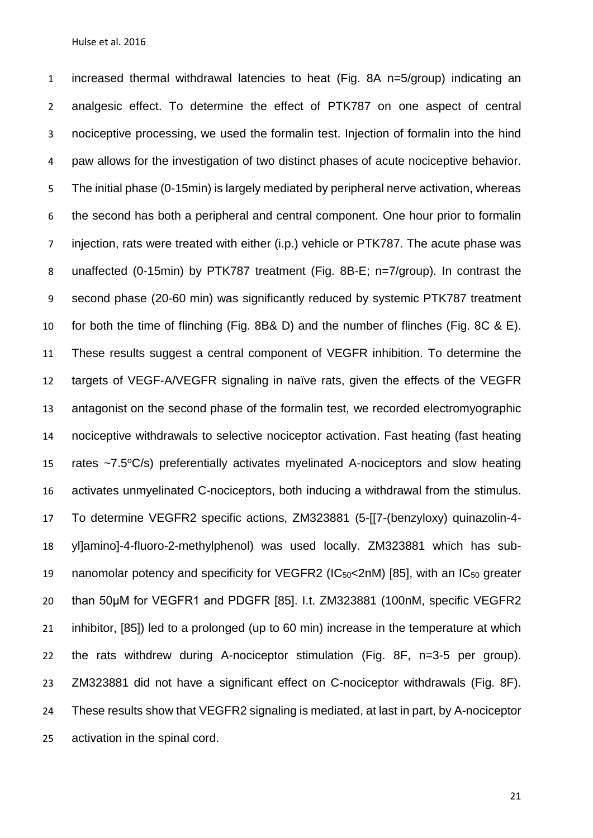increased thermal withdrawal latencies to heat (Fig. 8A n=5/group) indicating an analgesic effect. To determine the effect of PTK787 on one aspect of central nociceptive processing, we used the formalin test. Injection of formalin into the hind paw allows for the investigation of two distinct phases of acute nociceptive behavior. The initial phase (0-15min) is largely mediated by peripheral nerve activation, whereas the second has both a peripheral and central component. One hour prior to formalin injection, rats were treated with either (i.p.) vehicle or PTK787. The acute phase was unaffected (0-15min) by PTK787 treatment (Fig. 8B-E; n=7/group). In contrast the second phase (20-60 min) was significantly reduced by systemic PTK787 treatment for both the time of flinching (Fig. 8B& D) and the number of flinches (Fig. 8C & E). These results suggest a central component of VEGFR inhibition. To determine the targets of VEGF-A/VEGFR signaling in naïve rats, given the effects of the VEGFR antagonist on the second phase of the formalin test, we recorded electromyographic nociceptive withdrawals to selective nociceptor activation. Fast heating (fast heating 15 rates  $\sim$ 7.5 $\degree$ C/s) preferentially activates myelinated A-nociceptors and slow heating activates unmyelinated C-nociceptors, both inducing a withdrawal from the stimulus. To determine VEGFR2 specific actions, ZM323881 (5-[[7-(benzyloxy) quinazolin-4- yl]amino]-4-fluoro-2-methylphenol) was used locally. ZM323881 which has sub- nanomolar potency and specificity for VEGFR2 (IC50<2nM) [\[85\]](#page-41-3), with an IC<sup>50</sup> greater than 50μM for VEGFR1 and PDGFR [\[85\]](#page-41-3). I.t. ZM323881 (100nM, specific VEGFR2 inhibitor, [\[85\]](#page-41-3)) led to a prolonged (up to 60 min) increase in the temperature at which the rats withdrew during A-nociceptor stimulation (Fig. 8F, n=3-5 per group). ZM323881 did not have a significant effect on C-nociceptor withdrawals (Fig. 8F). These results show that VEGFR2 signaling is mediated, at last in part, by A-nociceptor activation in the spinal cord.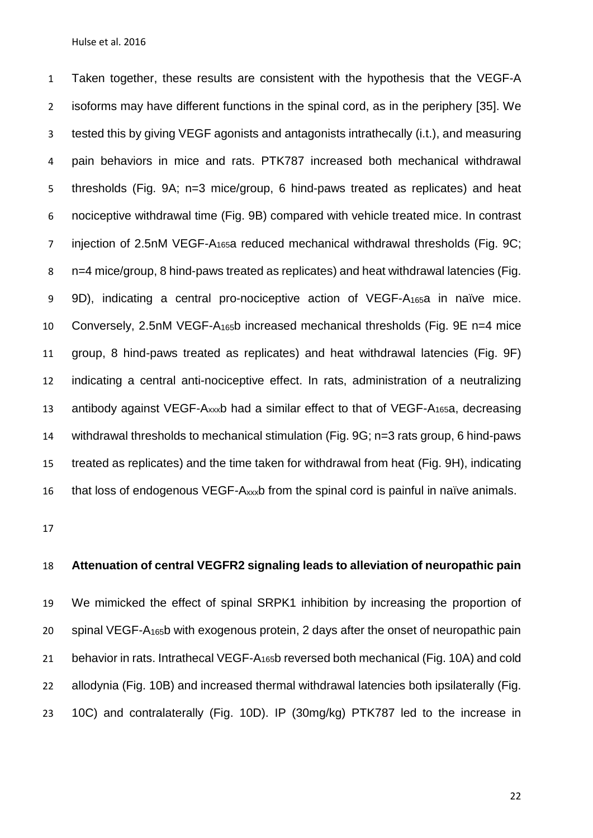Taken together, these results are consistent with the hypothesis that the VEGF-A isoforms may have different functions in the spinal cord, as in the periphery [\[35\]](#page-34-0). We tested this by giving VEGF agonists and antagonists intrathecally (i.t.), and measuring pain behaviors in mice and rats. PTK787 increased both mechanical withdrawal thresholds (Fig. 9A; n=3 mice/group, 6 hind-paws treated as replicates) and heat nociceptive withdrawal time (Fig. 9B) compared with vehicle treated mice. In contrast injection of 2.5nM VEGF-A165a reduced mechanical withdrawal thresholds (Fig. 9C; n=4 mice/group, 8 hind-paws treated as replicates) and heat withdrawal latencies (Fig. 9D), indicating a central pro-nociceptive action of VEGF-A165a in naïve mice. Conversely, 2.5nM VEGF-A165b increased mechanical thresholds (Fig. 9E n=4 mice group, 8 hind-paws treated as replicates) and heat withdrawal latencies (Fig. 9F) indicating a central anti-nociceptive effect. In rats, administration of a neutralizing antibody against VEGF-Axxxb had a similar effect to that of VEGF-A165a, decreasing withdrawal thresholds to mechanical stimulation (Fig. 9G; n=3 rats group, 6 hind-paws treated as replicates) and the time taken for withdrawal from heat (Fig. 9H), indicating 16 that loss of endogenous VEGF- $A_{xxx}$ b from the spinal cord is painful in naïve animals.

## **Attenuation of central VEGFR2 signaling leads to alleviation of neuropathic pain**

 We mimicked the effect of spinal SRPK1 inhibition by increasing the proportion of spinal VEGF-A165b with exogenous protein, 2 days after the onset of neuropathic pain 21 behavior in rats. Intrathecal VEGF-A<sub>165</sub>b reversed both mechanical (Fig. 10A) and cold allodynia (Fig. 10B) and increased thermal withdrawal latencies both ipsilaterally (Fig. 10C) and contralaterally (Fig. 10D). IP (30mg/kg) PTK787 led to the increase in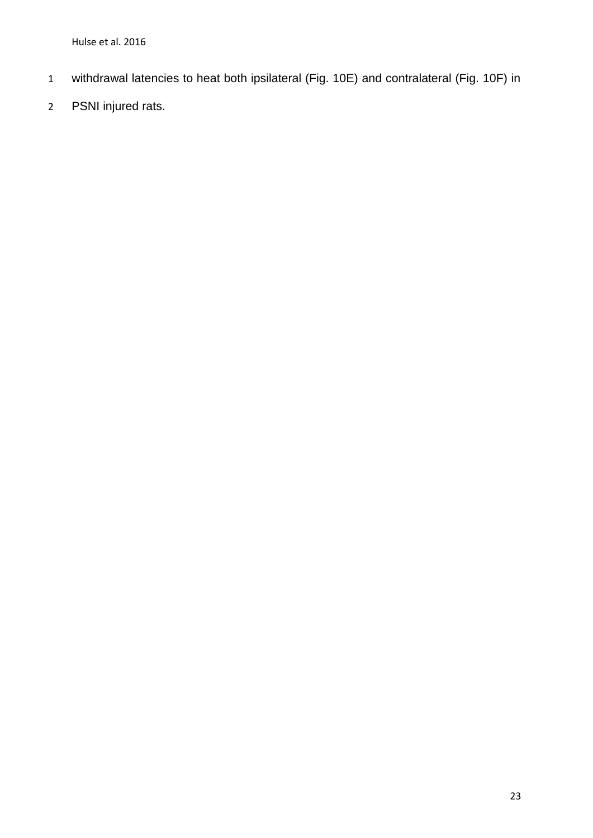- withdrawal latencies to heat both ipsilateral (Fig. 10E) and contralateral (Fig. 10F) in
- PSNI injured rats.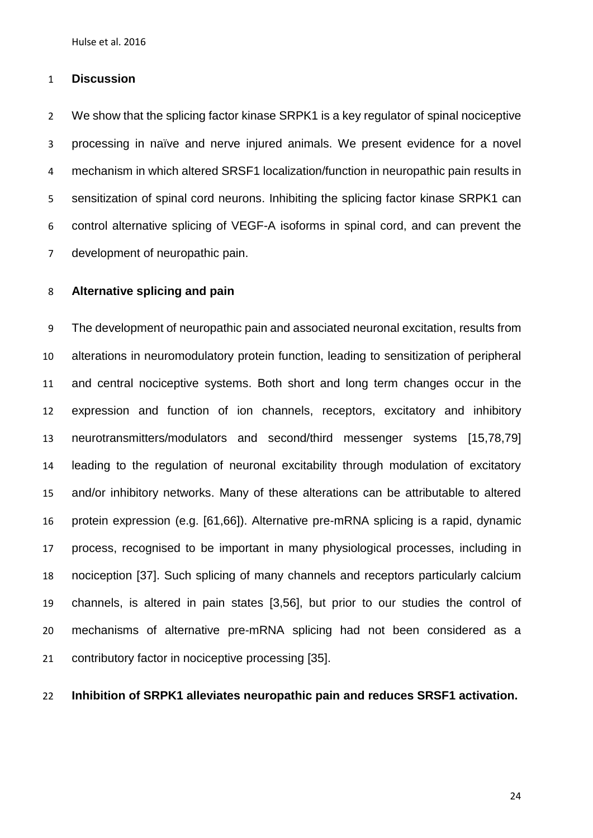### **Discussion**

 We show that the splicing factor kinase SRPK1 is a key regulator of spinal nociceptive processing in naïve and nerve injured animals. We present evidence for a novel mechanism in which altered SRSF1 localization/function in neuropathic pain results in sensitization of spinal cord neurons. Inhibiting the splicing factor kinase SRPK1 can control alternative splicing of VEGF-A isoforms in spinal cord, and can prevent the development of neuropathic pain.

## **Alternative splicing and pain**

 The development of neuropathic pain and associated neuronal excitation, results from alterations in neuromodulatory protein function, leading to sensitization of peripheral and central nociceptive systems. Both short and long term changes occur in the expression and function of ion channels, receptors, excitatory and inhibitory neurotransmitters/modulators and second/third messenger systems [\[15,](#page-32-5)[78](#page-40-4)[,79\]](#page-40-3) leading to the regulation of neuronal excitability through modulation of excitatory and/or inhibitory networks. Many of these alterations can be attributable to altered protein expression (e.g. [\[61](#page-38-4)[,66\]](#page-39-4)). Alternative pre-mRNA splicing is a rapid, dynamic process, recognised to be important in many physiological processes, including in nociception [\[37\]](#page-34-5). Such splicing of many channels and receptors particularly calcium channels, is altered in pain states [\[3](#page-30-5)[,56\]](#page-37-4), but prior to our studies the control of mechanisms of alternative pre-mRNA splicing had not been considered as a contributory factor in nociceptive processing [\[35\]](#page-34-0).

**Inhibition of SRPK1 alleviates neuropathic pain and reduces SRSF1 activation.**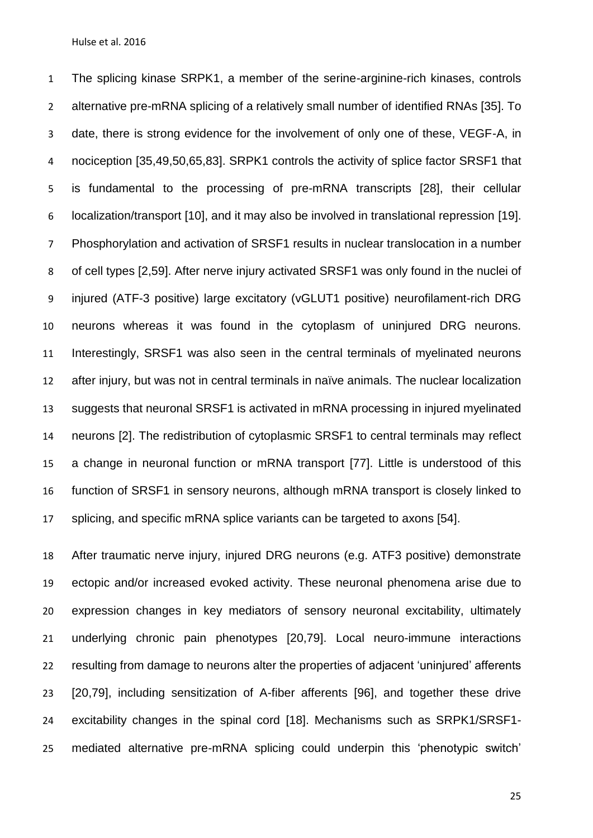The splicing kinase SRPK1, a member of the serine-arginine-rich kinases, controls alternative pre-mRNA splicing of a relatively small number of identified RNAs [\[35\]](#page-34-0). To date, there is strong evidence for the involvement of only one of these, VEGF-A, in nociception [\[35](#page-34-0)[,49](#page-36-5)[,50](#page-36-1)[,65](#page-38-5)[,83\]](#page-41-0). SRPK1 controls the activity of splice factor SRSF1 that is fundamental to the processing of pre-mRNA transcripts [\[28\]](#page-33-4), their cellular localization/transport [\[10\]](#page-31-4), and it may also be involved in translational repression [\[19\]](#page-32-6). Phosphorylation and activation of SRSF1 results in nuclear translocation in a number of cell types [\[2,](#page-30-1)[59\]](#page-37-0). After nerve injury activated SRSF1 was only found in the nuclei of injured (ATF-3 positive) large excitatory (vGLUT1 positive) neurofilament-rich DRG neurons whereas it was found in the cytoplasm of uninjured DRG neurons. Interestingly, SRSF1 was also seen in the central terminals of myelinated neurons after injury, but was not in central terminals in naïve animals. The nuclear localization suggests that neuronal SRSF1 is activated in mRNA processing in injured myelinated neurons [\[2\]](#page-30-1). The redistribution of cytoplasmic SRSF1 to central terminals may reflect a change in neuronal function or mRNA transport [\[77\]](#page-40-5). Little is understood of this function of SRSF1 in sensory neurons, although mRNA transport is closely linked to splicing, and specific mRNA splice variants can be targeted to axons [\[54\]](#page-37-5).

 After traumatic nerve injury, injured DRG neurons (e.g. ATF3 positive) demonstrate ectopic and/or increased evoked activity. These neuronal phenomena arise due to expression changes in key mediators of sensory neuronal excitability, ultimately underlying chronic pain phenotypes [\[20,](#page-32-0)[79\]](#page-40-3). Local neuro-immune interactions resulting from damage to neurons alter the properties of adjacent 'uninjured' afferents [\[20,](#page-32-0)[79\]](#page-40-3), including sensitization of A-fiber afferents [\[96\]](#page-43-1), and together these drive excitability changes in the spinal cord [\[18\]](#page-32-7). Mechanisms such as SRPK1/SRSF1- mediated alternative pre-mRNA splicing could underpin this 'phenotypic switch'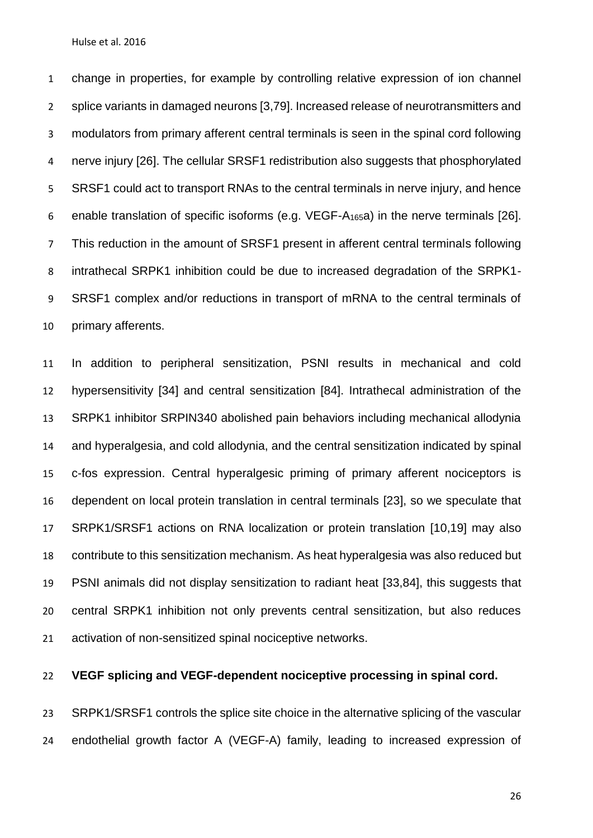change in properties, for example by controlling relative expression of ion channel splice variants in damaged neurons [\[3](#page-30-5)[,79\]](#page-40-3). Increased release of neurotransmitters and modulators from primary afferent central terminals is seen in the spinal cord following nerve injury [\[26\]](#page-33-5). The cellular SRSF1 redistribution also suggests that phosphorylated 5 SRSF1 could act to transport RNAs to the central terminals in nerve injury, and hence enable translation of specific isoforms (e.g. VEGF-A165a) in the nerve terminals [\[26\]](#page-33-5). This reduction in the amount of SRSF1 present in afferent central terminals following intrathecal SRPK1 inhibition could be due to increased degradation of the SRPK1- SRSF1 complex and/or reductions in transport of mRNA to the central terminals of primary afferents.

 In addition to peripheral sensitization, PSNI results in mechanical and cold hypersensitivity [\[34\]](#page-34-3) and central sensitization [\[84\]](#page-41-1). Intrathecal administration of the SRPK1 inhibitor SRPIN340 abolished pain behaviors including mechanical allodynia and hyperalgesia, and cold allodynia, and the central sensitization indicated by spinal c-fos expression. Central hyperalgesic priming of primary afferent nociceptors is dependent on local protein translation in central terminals [\[23\]](#page-33-6), so we speculate that SRPK1/SRSF1 actions on RNA localization or protein translation [\[10](#page-31-4)[,19\]](#page-32-6) may also contribute to this sensitization mechanism. As heat hyperalgesia was also reduced but PSNI animals did not display sensitization to radiant heat [\[33](#page-34-6)[,84\]](#page-41-1), this suggests that central SRPK1 inhibition not only prevents central sensitization, but also reduces activation of non-sensitized spinal nociceptive networks.

**VEGF splicing and VEGF-dependent nociceptive processing in spinal cord.** 

 SRPK1/SRSF1 controls the splice site choice in the alternative splicing of the vascular endothelial growth factor A (VEGF-A) family, leading to increased expression of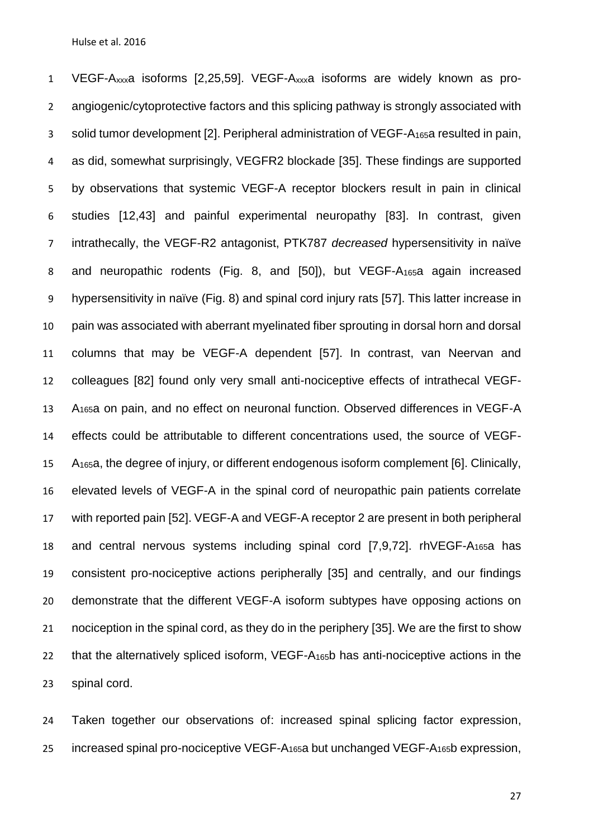VEGF-Axxxa isoforms [\[2](#page-30-1)[,25](#page-33-2)[,59\]](#page-37-0). VEGF-Axxxa isoforms are widely known as pro- angiogenic/cytoprotective factors and this splicing pathway is strongly associated with solid tumor development [\[2\]](#page-30-1). Peripheral administration of VEGF-A165a resulted in pain, as did, somewhat surprisingly, VEGFR2 blockade [\[35\]](#page-34-0). These findings are supported by observations that systemic VEGF-A receptor blockers result in pain in clinical studies [\[12](#page-31-5)[,43\]](#page-35-4) and painful experimental neuropathy [\[83\]](#page-41-0). In contrast, given intrathecally, the VEGF-R2 antagonist, PTK787 *decreased* hypersensitivity in naïve and neuropathic rodents (Fig. 8, and [\[50\]](#page-36-1)), but VEGF-A165a again increased hypersensitivity in naïve (Fig. 8) and spinal cord injury rats [\[57\]](#page-37-3). This latter increase in pain was associated with aberrant myelinated fiber sprouting in dorsal horn and dorsal columns that may be VEGF-A dependent [\[57\]](#page-37-3). In contrast, van Neervan and colleagues [\[82\]](#page-41-4) found only very small anti-nociceptive effects of intrathecal VEGF- A165a on pain, and no effect on neuronal function. Observed differences in VEGF-A effects could be attributable to different concentrations used, the source of VEGF- A165a, the degree of injury, or different endogenous isoform complement [\[6\]](#page-30-2). Clinically, elevated levels of VEGF-A in the spinal cord of neuropathic pain patients correlate with reported pain [\[52\]](#page-36-4). VEGF-A and VEGF-A receptor 2 are present in both peripheral and central nervous systems including spinal cord [\[7](#page-31-6)[,9](#page-31-1)[,72\]](#page-39-5). rhVEGF-A165a has consistent pro-nociceptive actions peripherally [\[35\]](#page-34-0) and centrally, and our findings demonstrate that the different VEGF-A isoform subtypes have opposing actions on 21 nociception in the spinal cord, as they do in the periphery [\[35\]](#page-34-0). We are the first to show that the alternatively spliced isoform, VEGF-A165b has anti-nociceptive actions in the spinal cord.

 Taken together our observations of: increased spinal splicing factor expression, 25 increased spinal pro-nociceptive VEGF- $A_{165}$ a but unchanged VEGF- $A_{165}$ b expression,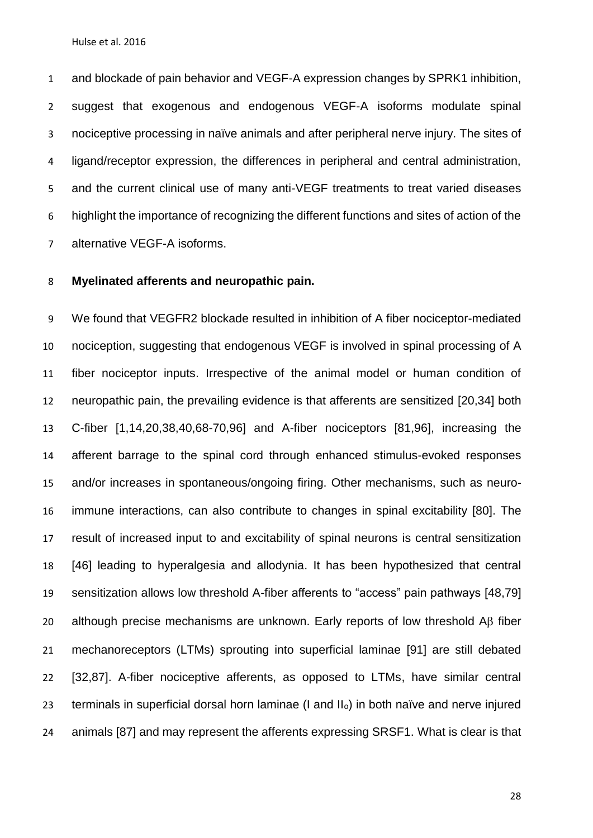and blockade of pain behavior and VEGF-A expression changes by SPRK1 inhibition, suggest that exogenous and endogenous VEGF-A isoforms modulate spinal nociceptive processing in naïve animals and after peripheral nerve injury. The sites of ligand/receptor expression, the differences in peripheral and central administration, and the current clinical use of many anti-VEGF treatments to treat varied diseases highlight the importance of recognizing the different functions and sites of action of the alternative VEGF-A isoforms.

## **Myelinated afferents and neuropathic pain.**

 We found that VEGFR2 blockade resulted in inhibition of A fiber nociceptor-mediated nociception, suggesting that endogenous VEGF is involved in spinal processing of A fiber nociceptor inputs. Irrespective of the animal model or human condition of neuropathic pain, the prevailing evidence is that afferents are sensitized [\[20](#page-32-0)[,34\]](#page-34-3) both C-fiber [\[1](#page-30-0)[,14,](#page-32-1)[20,](#page-32-0)[38](#page-35-1)[,40](#page-35-2)[,68-70](#page-39-0)[,96\]](#page-43-1) and A-fiber nociceptors [\[81,](#page-40-6)[96\]](#page-43-1), increasing the afferent barrage to the spinal cord through enhanced stimulus-evoked responses and/or increases in spontaneous/ongoing firing. Other mechanisms, such as neuro- immune interactions, can also contribute to changes in spinal excitability [\[80\]](#page-40-1). The result of increased input to and excitability of spinal neurons is central sensitization [\[46\]](#page-36-0) leading to hyperalgesia and allodynia. It has been hypothesized that central sensitization allows low threshold A-fiber afferents to "access" pain pathways [\[48](#page-36-6)[,79\]](#page-40-3) 20 although precise mechanisms are unknown. Early reports of low threshold A $\beta$  fiber mechanoreceptors (LTMs) sprouting into superficial laminae [\[91\]](#page-42-6) are still debated [\[32,](#page-34-7)[87\]](#page-41-5). A-fiber nociceptive afferents, as opposed to LTMs, have similar central terminals in superficial dorsal horn laminae (I and IIo) in both naïve and nerve injured animals [\[87\]](#page-41-5) and may represent the afferents expressing SRSF1. What is clear is that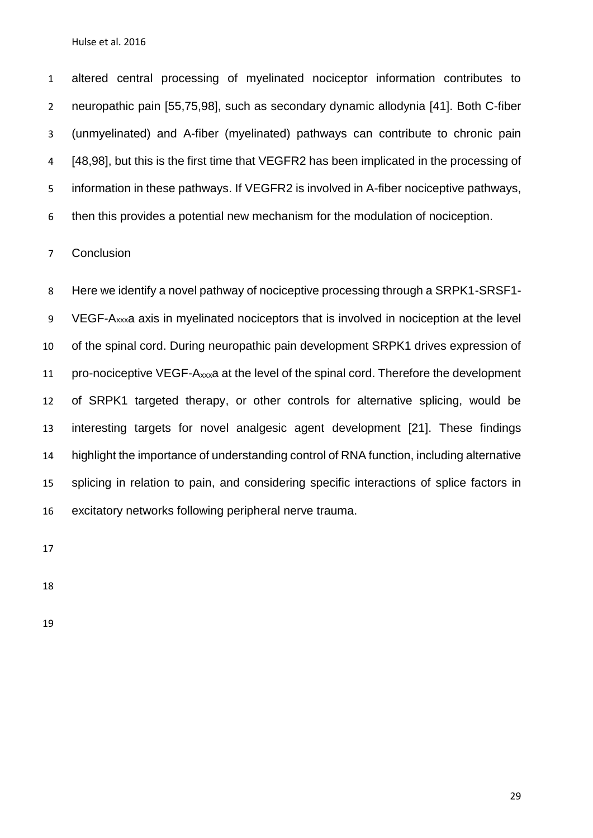altered central processing of myelinated nociceptor information contributes to neuropathic pain [\[55](#page-37-6)[,75,](#page-40-7)[98\]](#page-43-3), such as secondary dynamic allodynia [\[41\]](#page-35-7). Both C-fiber (unmyelinated) and A-fiber (myelinated) pathways can contribute to chronic pain [\[48,](#page-36-6)[98\]](#page-43-3), but this is the first time that VEGFR2 has been implicated in the processing of information in these pathways. If VEGFR2 is involved in A-fiber nociceptive pathways, then this provides a potential new mechanism for the modulation of nociception.

Conclusion

 Here we identify a novel pathway of nociceptive processing through a SRPK1-SRSF1- VEGF-Axxxa axis in myelinated nociceptors that is involved in nociception at the level of the spinal cord. During neuropathic pain development SRPK1 drives expression of pro-nociceptive VEGF-Axxxa at the level of the spinal cord. Therefore the development of SRPK1 targeted therapy, or other controls for alternative splicing, would be interesting targets for novel analgesic agent development [\[21\]](#page-32-8). These findings highlight the importance of understanding control of RNA function, including alternative splicing in relation to pain, and considering specific interactions of splice factors in excitatory networks following peripheral nerve trauma.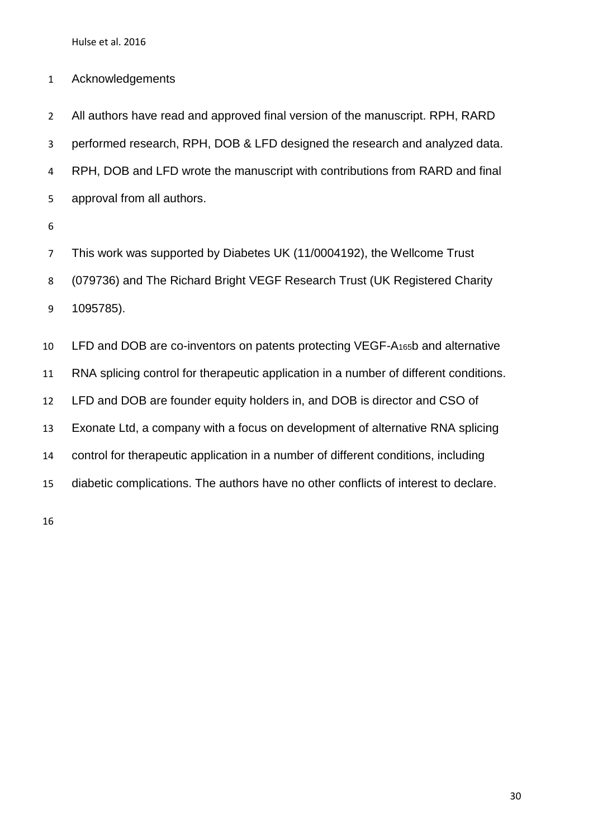Acknowledgements

 All authors have read and approved final version of the manuscript. RPH, RARD performed research, RPH, DOB & LFD designed the research and analyzed data. RPH, DOB and LFD wrote the manuscript with contributions from RARD and final approval from all authors.

 This work was supported by Diabetes UK (11/0004192), the Wellcome Trust (079736) and The Richard Bright VEGF Research Trust (UK Registered Charity 1095785).

 LFD and DOB are co-inventors on patents protecting VEGF-A165b and alternative RNA splicing control for therapeutic application in a number of different conditions. LFD and DOB are founder equity holders in, and DOB is director and CSO of Exonate Ltd, a company with a focus on development of alternative RNA splicing control for therapeutic application in a number of different conditions, including diabetic complications. The authors have no other conflicts of interest to declare.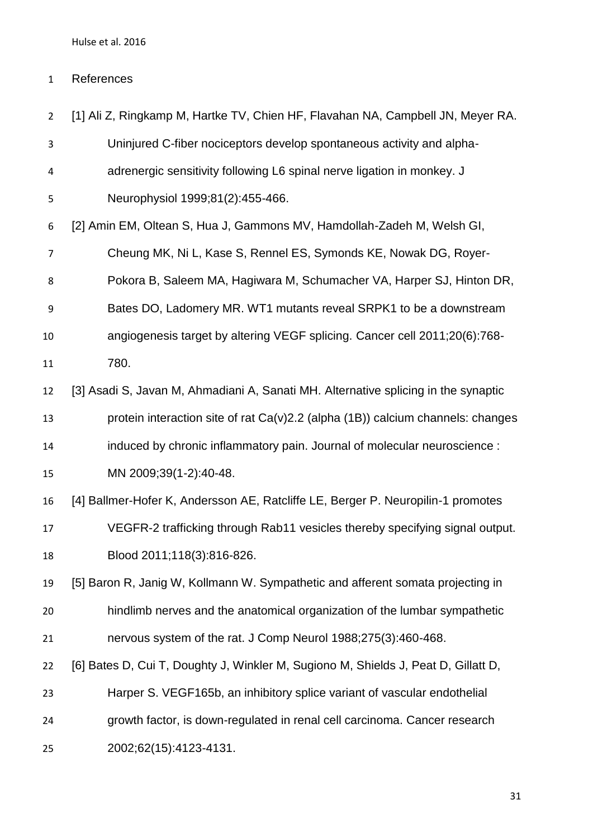# References

<span id="page-30-5"></span><span id="page-30-4"></span><span id="page-30-3"></span><span id="page-30-2"></span><span id="page-30-1"></span><span id="page-30-0"></span>

| $\overline{2}$ | [1] Ali Z, Ringkamp M, Hartke TV, Chien HF, Flavahan NA, Campbell JN, Meyer RA.    |
|----------------|------------------------------------------------------------------------------------|
| 3              | Uninjured C-fiber nociceptors develop spontaneous activity and alpha-              |
| 4              | adrenergic sensitivity following L6 spinal nerve ligation in monkey. J             |
| 5              | Neurophysiol 1999;81(2):455-466.                                                   |
| 6              | [2] Amin EM, Oltean S, Hua J, Gammons MV, Hamdollah-Zadeh M, Welsh GI,             |
| $\overline{7}$ | Cheung MK, Ni L, Kase S, Rennel ES, Symonds KE, Nowak DG, Royer-                   |
| 8              | Pokora B, Saleem MA, Hagiwara M, Schumacher VA, Harper SJ, Hinton DR,              |
| 9              | Bates DO, Ladomery MR. WT1 mutants reveal SRPK1 to be a downstream                 |
| 10             | angiogenesis target by altering VEGF splicing. Cancer cell 2011;20(6):768-         |
| 11             | 780.                                                                               |
| 12             | [3] Asadi S, Javan M, Ahmadiani A, Sanati MH. Alternative splicing in the synaptic |
| 13             | protein interaction site of rat Ca(v)2.2 (alpha (1B)) calcium channels: changes    |
| 14             | induced by chronic inflammatory pain. Journal of molecular neuroscience :          |
| 15             | MN 2009;39(1-2):40-48.                                                             |
| 16             | [4] Ballmer-Hofer K, Andersson AE, Ratcliffe LE, Berger P. Neuropilin-1 promotes   |
| 17             | VEGFR-2 trafficking through Rab11 vesicles thereby specifying signal output.       |
| 18             | Blood 2011;118(3):816-826.                                                         |
| 19             | [5] Baron R, Janig W, Kollmann W. Sympathetic and afferent somata projecting in    |
| 20             | hindlimb nerves and the anatomical organization of the lumbar sympathetic          |
| 21             | nervous system of the rat. J Comp Neurol 1988;275(3):460-468.                      |
| 22             | [6] Bates D, Cui T, Doughty J, Winkler M, Sugiono M, Shields J, Peat D, Gillatt D, |
| 23             | Harper S. VEGF165b, an inhibitory splice variant of vascular endothelial           |
| 24             | growth factor, is down-regulated in renal cell carcinoma. Cancer research          |
| 25             | 2002;62(15):4123-4131.                                                             |
|                |                                                                                    |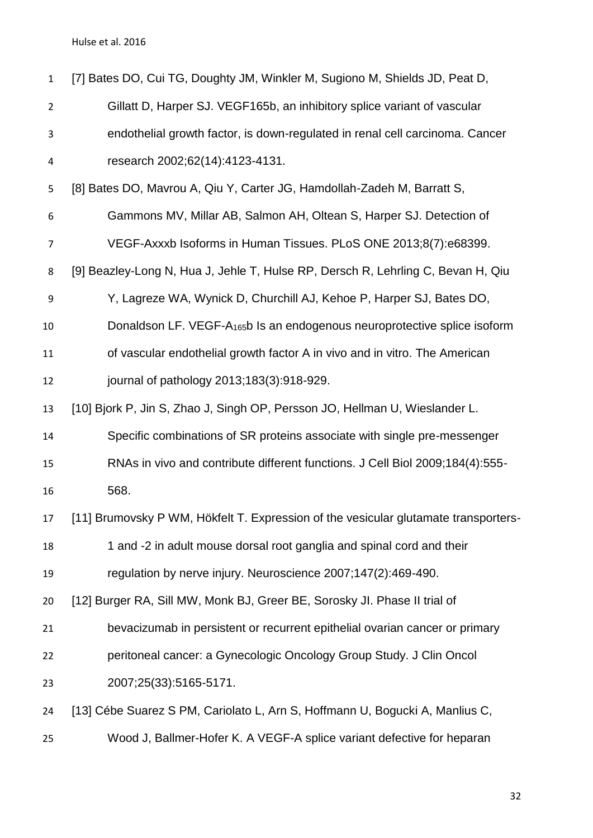<span id="page-31-6"></span><span id="page-31-5"></span><span id="page-31-4"></span><span id="page-31-3"></span><span id="page-31-2"></span><span id="page-31-1"></span><span id="page-31-0"></span>

| $\mathbf{1}$   | [7] Bates DO, Cui TG, Doughty JM, Winkler M, Sugiono M, Shields JD, Peat D,           |
|----------------|---------------------------------------------------------------------------------------|
| $\overline{2}$ | Gillatt D, Harper SJ. VEGF165b, an inhibitory splice variant of vascular              |
| 3              | endothelial growth factor, is down-regulated in renal cell carcinoma. Cancer          |
| 4              | research 2002;62(14):4123-4131.                                                       |
| 5              | [8] Bates DO, Mavrou A, Qiu Y, Carter JG, Hamdollah-Zadeh M, Barratt S,               |
| 6              | Gammons MV, Millar AB, Salmon AH, Oltean S, Harper SJ. Detection of                   |
| $\overline{7}$ | VEGF-Axxxb Isoforms in Human Tissues. PLoS ONE 2013;8(7):e68399.                      |
| 8              | [9] Beazley-Long N, Hua J, Jehle T, Hulse RP, Dersch R, Lehrling C, Bevan H, Qiu      |
| 9              | Y, Lagreze WA, Wynick D, Churchill AJ, Kehoe P, Harper SJ, Bates DO,                  |
| 10             | Donaldson LF. VEGF-A <sub>165</sub> b Is an endogenous neuroprotective splice isoform |
| 11             | of vascular endothelial growth factor A in vivo and in vitro. The American            |
| 12             | journal of pathology 2013;183(3):918-929.                                             |
| 13             | [10] Bjork P, Jin S, Zhao J, Singh OP, Persson JO, Hellman U, Wieslander L.           |
| 14             | Specific combinations of SR proteins associate with single pre-messenger              |
| 15             | RNAs in vivo and contribute different functions. J Cell Biol 2009;184(4):555-         |
| 16             | 568.                                                                                  |
| 17             | [11] Brumovsky P WM, Hökfelt T. Expression of the vesicular glutamate transporters-   |
| 18             | 1 and -2 in adult mouse dorsal root ganglia and spinal cord and their                 |
| 19             | regulation by nerve injury. Neuroscience 2007;147(2):469-490.                         |
| 20             | [12] Burger RA, Sill MW, Monk BJ, Greer BE, Sorosky JI. Phase II trial of             |
| 21             | bevacizumab in persistent or recurrent epithelial ovarian cancer or primary           |
| 22             | peritoneal cancer: a Gynecologic Oncology Group Study. J Clin Oncol                   |
| 23             | 2007;25(33):5165-5171.                                                                |
| 24             | [13] Cébe Suarez S PM, Cariolato L, Arn S, Hoffmann U, Bogucki A, Manlius C,          |
| 25             | Wood J, Ballmer-Hofer K. A VEGF-A splice variant defective for heparan                |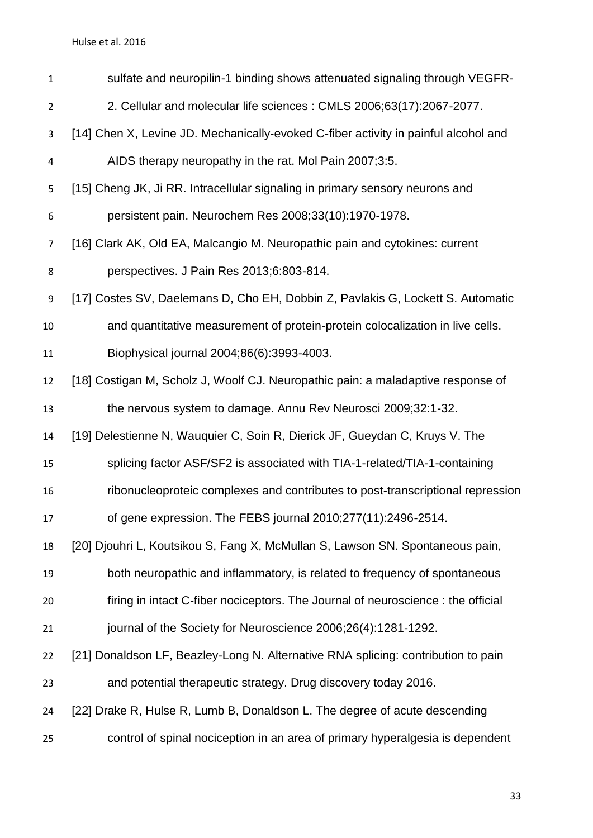<span id="page-32-8"></span><span id="page-32-7"></span><span id="page-32-6"></span><span id="page-32-5"></span><span id="page-32-4"></span><span id="page-32-3"></span><span id="page-32-2"></span><span id="page-32-1"></span><span id="page-32-0"></span>

| $\mathbf{1}$   | sulfate and neuropilin-1 binding shows attenuated signaling through VEGFR-          |
|----------------|-------------------------------------------------------------------------------------|
| $\overline{2}$ | 2. Cellular and molecular life sciences : CMLS 2006;63(17):2067-2077.               |
| 3              | [14] Chen X, Levine JD. Mechanically-evoked C-fiber activity in painful alcohol and |
| 4              | AIDS therapy neuropathy in the rat. Mol Pain 2007;3:5.                              |
| 5              | [15] Cheng JK, Ji RR. Intracellular signaling in primary sensory neurons and        |
| 6              | persistent pain. Neurochem Res 2008;33(10):1970-1978.                               |
| 7              | [16] Clark AK, Old EA, Malcangio M. Neuropathic pain and cytokines: current         |
| 8              | perspectives. J Pain Res 2013;6:803-814.                                            |
| 9              | [17] Costes SV, Daelemans D, Cho EH, Dobbin Z, Pavlakis G, Lockett S. Automatic     |
| 10             | and quantitative measurement of protein-protein colocalization in live cells.       |
| 11             | Biophysical journal 2004;86(6):3993-4003.                                           |
| 12             | [18] Costigan M, Scholz J, Woolf CJ. Neuropathic pain: a maladaptive response of    |
| 13             | the nervous system to damage. Annu Rev Neurosci 2009;32:1-32.                       |
| 14             | [19] Delestienne N, Wauquier C, Soin R, Dierick JF, Gueydan C, Kruys V. The         |
| 15             | splicing factor ASF/SF2 is associated with TIA-1-related/TIA-1-containing           |
| 16             | ribonucleoproteic complexes and contributes to post-transcriptional repression      |
| 17             | of gene expression. The FEBS journal 2010;277(11):2496-2514.                        |
| 18             | [20] Djouhri L, Koutsikou S, Fang X, McMullan S, Lawson SN. Spontaneous pain,       |
| 19             | both neuropathic and inflammatory, is related to frequency of spontaneous           |
| 20             | firing in intact C-fiber nociceptors. The Journal of neuroscience : the official    |
| 21             | journal of the Society for Neuroscience 2006;26(4):1281-1292.                       |
| 22             | [21] Donaldson LF, Beazley-Long N. Alternative RNA splicing: contribution to pain   |
| 23             | and potential therapeutic strategy. Drug discovery today 2016.                      |
| 24             | [22] Drake R, Hulse R, Lumb B, Donaldson L. The degree of acute descending          |
| 25             | control of spinal nociception in an area of primary hyperalgesia is dependent       |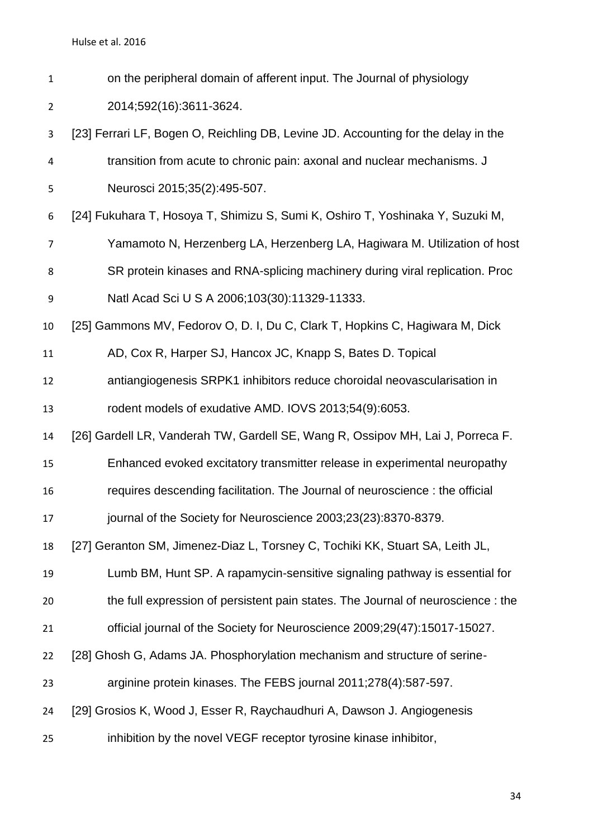| on the peripheral domain of afferent input. The Journal of physiology |
|-----------------------------------------------------------------------|
| 2014;592(16):3611-3624.                                               |

- <span id="page-33-6"></span> [23] Ferrari LF, Bogen O, Reichling DB, Levine JD. Accounting for the delay in the transition from acute to chronic pain: axonal and nuclear mechanisms. J Neurosci 2015;35(2):495-507.
- <span id="page-33-3"></span>[24] Fukuhara T, Hosoya T, Shimizu S, Sumi K, Oshiro T, Yoshinaka Y, Suzuki M,
- Yamamoto N, Herzenberg LA, Herzenberg LA, Hagiwara M. Utilization of host

SR protein kinases and RNA-splicing machinery during viral replication. Proc

- Natl Acad Sci U S A 2006;103(30):11329-11333.
- <span id="page-33-2"></span>[25] Gammons MV, Fedorov O, D. I, Du C, Clark T, Hopkins C, Hagiwara M, Dick

AD, Cox R, Harper SJ, Hancox JC, Knapp S, Bates D. Topical

 antiangiogenesis SRPK1 inhibitors reduce choroidal neovascularisation in rodent models of exudative AMD. IOVS 2013;54(9):6053.

<span id="page-33-5"></span>[26] Gardell LR, Vanderah TW, Gardell SE, Wang R, Ossipov MH, Lai J, Porreca F.

- Enhanced evoked excitatory transmitter release in experimental neuropathy
- requires descending facilitation. The Journal of neuroscience : the official
- 17 journal of the Society for Neuroscience 2003;23(23):8370-8379.
- <span id="page-33-0"></span>[27] Geranton SM, Jimenez-Diaz L, Torsney C, Tochiki KK, Stuart SA, Leith JL,

Lumb BM, Hunt SP. A rapamycin-sensitive signaling pathway is essential for

- the full expression of persistent pain states. The Journal of neuroscience : the
- official journal of the Society for Neuroscience 2009;29(47):15017-15027.
- <span id="page-33-4"></span>[28] Ghosh G, Adams JA. Phosphorylation mechanism and structure of serine-
- arginine protein kinases. The FEBS journal 2011;278(4):587-597.
- <span id="page-33-1"></span>[29] Grosios K, Wood J, Esser R, Raychaudhuri A, Dawson J. Angiogenesis
- inhibition by the novel VEGF receptor tyrosine kinase inhibitor,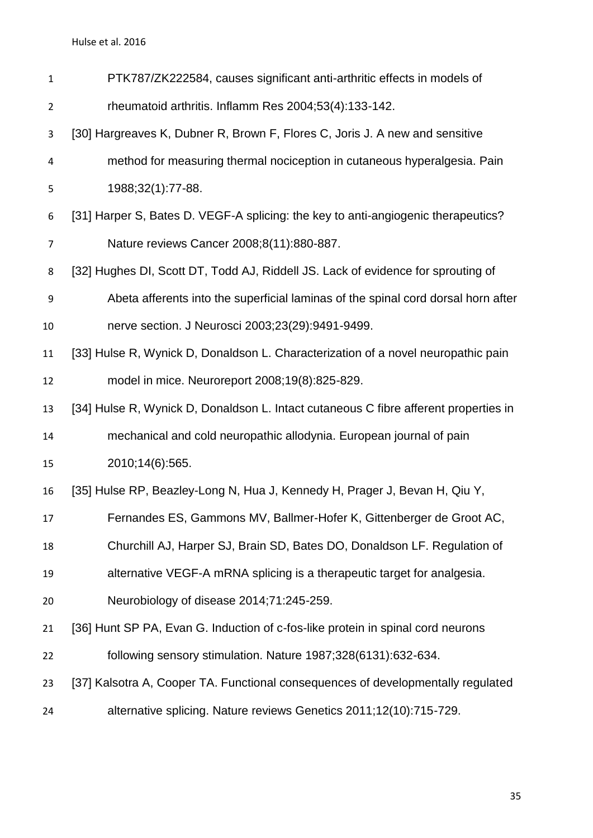<span id="page-34-7"></span><span id="page-34-6"></span><span id="page-34-5"></span><span id="page-34-4"></span><span id="page-34-3"></span><span id="page-34-2"></span><span id="page-34-1"></span><span id="page-34-0"></span>

| $\mathbf{1}$     | PTK787/ZK222584, causes significant anti-arthritic effects in models of              |
|------------------|--------------------------------------------------------------------------------------|
| 2                | rheumatoid arthritis. Inflamm Res 2004;53(4):133-142.                                |
| 3                | [30] Hargreaves K, Dubner R, Brown F, Flores C, Joris J. A new and sensitive         |
| 4                | method for measuring thermal nociception in cutaneous hyperalgesia. Pain             |
| 5                | 1988;32(1):77-88.                                                                    |
| 6                | [31] Harper S, Bates D. VEGF-A splicing: the key to anti-angiogenic therapeutics?    |
| $\overline{7}$   | Nature reviews Cancer 2008;8(11):880-887.                                            |
| 8                | [32] Hughes DI, Scott DT, Todd AJ, Riddell JS. Lack of evidence for sprouting of     |
| $\boldsymbol{9}$ | Abeta afferents into the superficial laminas of the spinal cord dorsal horn after    |
| 10               | nerve section. J Neurosci 2003;23(29):9491-9499.                                     |
| 11               | [33] Hulse R, Wynick D, Donaldson L. Characterization of a novel neuropathic pain    |
| 12               | model in mice. Neuroreport 2008;19(8):825-829.                                       |
| 13               | [34] Hulse R, Wynick D, Donaldson L. Intact cutaneous C fibre afferent properties in |
| 14               | mechanical and cold neuropathic allodynia. European journal of pain                  |
| 15               | 2010;14(6):565.                                                                      |
| 16               | [35] Hulse RP, Beazley-Long N, Hua J, Kennedy H, Prager J, Bevan H, Qiu Y,           |
| 17               | Fernandes ES, Gammons MV, Ballmer-Hofer K, Gittenberger de Groot AC,                 |
| 18               | Churchill AJ, Harper SJ, Brain SD, Bates DO, Donaldson LF. Regulation of             |
| 19               | alternative VEGF-A mRNA splicing is a therapeutic target for analgesia.              |
| 20               | Neurobiology of disease 2014;71:245-259.                                             |
| 21               | [36] Hunt SP PA, Evan G. Induction of c-fos-like protein in spinal cord neurons      |
| 22               | following sensory stimulation. Nature 1987;328(6131):632-634.                        |
| 23               | [37] Kalsotra A, Cooper TA. Functional consequences of developmentally regulated     |
| 24               | alternative splicing. Nature reviews Genetics 2011;12(10):715-729.                   |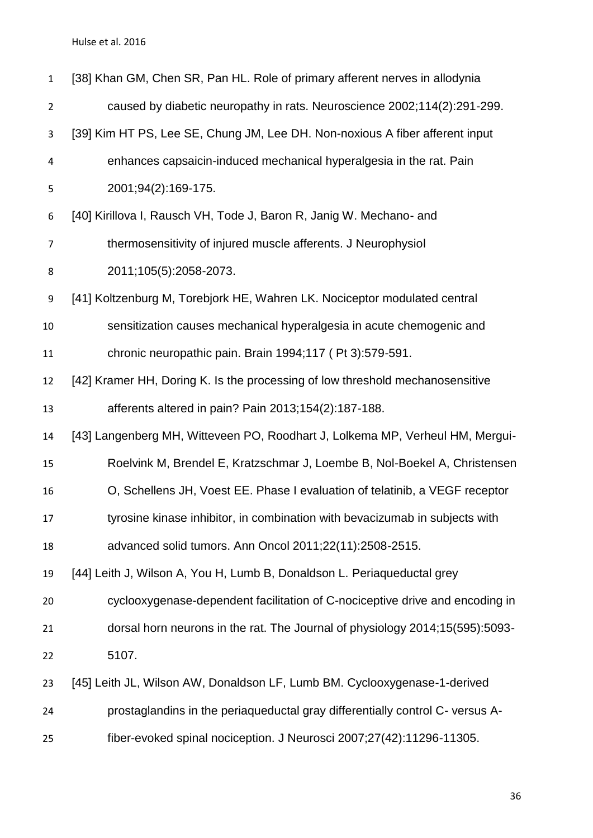<span id="page-35-7"></span><span id="page-35-6"></span><span id="page-35-5"></span><span id="page-35-4"></span><span id="page-35-3"></span><span id="page-35-2"></span><span id="page-35-1"></span><span id="page-35-0"></span>

| $\mathbf{1}$     | [38] Khan GM, Chen SR, Pan HL. Role of primary afferent nerves in allodynia   |
|------------------|-------------------------------------------------------------------------------|
| $\overline{2}$   | caused by diabetic neuropathy in rats. Neuroscience 2002;114(2):291-299.      |
| 3                | [39] Kim HT PS, Lee SE, Chung JM, Lee DH. Non-noxious A fiber afferent input  |
| 4                | enhances capsaicin-induced mechanical hyperalgesia in the rat. Pain           |
| 5                | 2001;94(2):169-175.                                                           |
| 6                | [40] Kirillova I, Rausch VH, Tode J, Baron R, Janig W. Mechano- and           |
| $\overline{7}$   | thermosensitivity of injured muscle afferents. J Neurophysiol                 |
| 8                | 2011;105(5):2058-2073.                                                        |
| $\boldsymbol{9}$ | [41] Koltzenburg M, Torebjork HE, Wahren LK. Nociceptor modulated central     |
| 10               | sensitization causes mechanical hyperalgesia in acute chemogenic and          |
| 11               | chronic neuropathic pain. Brain 1994;117 (Pt 3):579-591.                      |
| 12               | [42] Kramer HH, Doring K. Is the processing of low threshold mechanosensitive |
| 13               | afferents altered in pain? Pain 2013;154(2):187-188.                          |
| 14               | [43] Langenberg MH, Witteveen PO, Roodhart J, Lolkema MP, Verheul HM, Mergui- |
| 15               | Roelvink M, Brendel E, Kratzschmar J, Loembe B, Nol-Boekel A, Christensen     |
| 16               | O, Schellens JH, Voest EE. Phase I evaluation of telatinib, a VEGF receptor   |
| 17               | tyrosine kinase inhibitor, in combination with bevacizumab in subjects with   |
| 18               | advanced solid tumors. Ann Oncol 2011;22(11):2508-2515.                       |
| 19               | [44] Leith J, Wilson A, You H, Lumb B, Donaldson L. Periaqueductal grey       |
| 20               | cyclooxygenase-dependent facilitation of C-nociceptive drive and encoding in  |
| 21               | dorsal horn neurons in the rat. The Journal of physiology 2014;15(595):5093-  |
| 22               | 5107.                                                                         |
| 23               | [45] Leith JL, Wilson AW, Donaldson LF, Lumb BM. Cyclooxygenase-1-derived     |
| 24               | prostaglandins in the periaqueductal gray differentially control C- versus A- |
| 25               | fiber-evoked spinal nociception. J Neurosci 2007;27(42):11296-11305.          |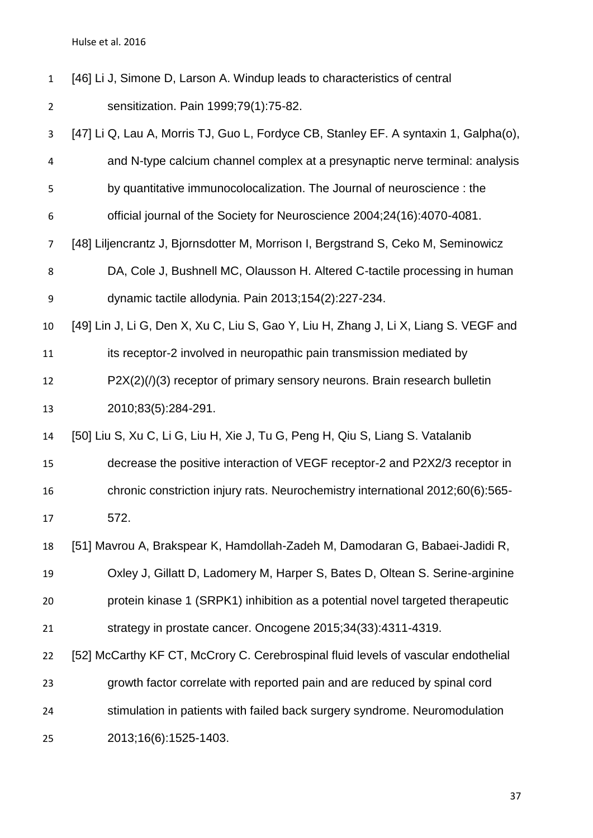- <span id="page-36-0"></span> [46] Li J, Simone D, Larson A. Windup leads to characteristics of central sensitization. Pain 1999;79(1):75-82.
- <span id="page-36-6"></span><span id="page-36-5"></span><span id="page-36-4"></span><span id="page-36-3"></span><span id="page-36-2"></span><span id="page-36-1"></span> [47] Li Q, Lau A, Morris TJ, Guo L, Fordyce CB, Stanley EF. A syntaxin 1, Galpha(o), and N-type calcium channel complex at a presynaptic nerve terminal: analysis by quantitative immunocolocalization. The Journal of neuroscience : the official journal of the Society for Neuroscience 2004;24(16):4070-4081. [48] Liljencrantz J, Bjornsdotter M, Morrison I, Bergstrand S, Ceko M, Seminowicz DA, Cole J, Bushnell MC, Olausson H. Altered C-tactile processing in human dynamic tactile allodynia. Pain 2013;154(2):227-234. [49] Lin J, Li G, Den X, Xu C, Liu S, Gao Y, Liu H, Zhang J, Li X, Liang S. VEGF and 11 its receptor-2 involved in neuropathic pain transmission mediated by P2X(2)(/)(3) receptor of primary sensory neurons. Brain research bulletin 2010;83(5):284-291. [50] Liu S, Xu C, Li G, Liu H, Xie J, Tu G, Peng H, Qiu S, Liang S. Vatalanib decrease the positive interaction of VEGF receptor-2 and P2X2/3 receptor in chronic constriction injury rats. Neurochemistry international 2012;60(6):565- 572. [51] Mavrou A, Brakspear K, Hamdollah-Zadeh M, Damodaran G, Babaei-Jadidi R, Oxley J, Gillatt D, Ladomery M, Harper S, Bates D, Oltean S. Serine-arginine protein kinase 1 (SRPK1) inhibition as a potential novel targeted therapeutic strategy in prostate cancer. Oncogene 2015;34(33):4311-4319. [52] McCarthy KF CT, McCrory C. Cerebrospinal fluid levels of vascular endothelial growth factor correlate with reported pain and are reduced by spinal cord stimulation in patients with failed back surgery syndrome. Neuromodulation 2013;16(6):1525-1403.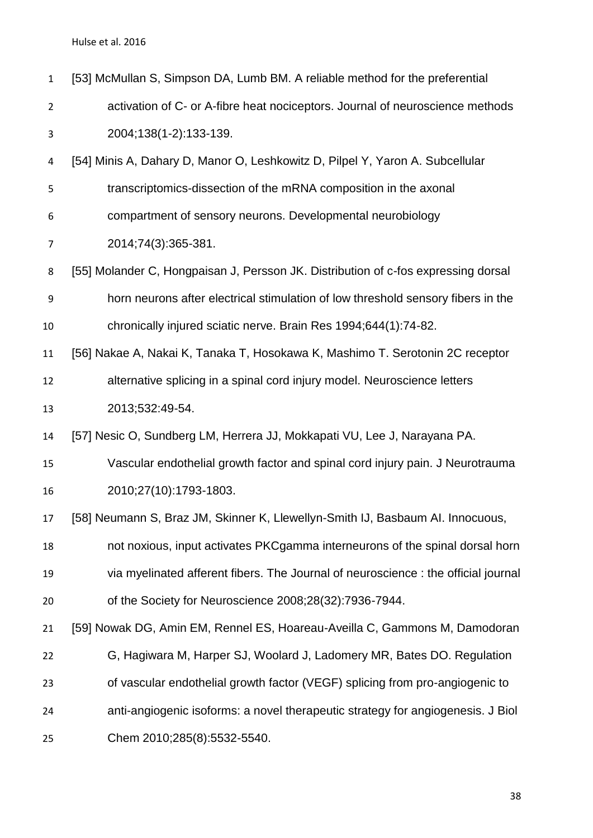<span id="page-37-6"></span><span id="page-37-5"></span><span id="page-37-4"></span><span id="page-37-3"></span><span id="page-37-2"></span><span id="page-37-1"></span><span id="page-37-0"></span>

| $\mathbf{1}$   | [53] McMullan S, Simpson DA, Lumb BM. A reliable method for the preferential       |
|----------------|------------------------------------------------------------------------------------|
| $\overline{2}$ | activation of C- or A-fibre heat nociceptors. Journal of neuroscience methods      |
| 3              | 2004;138(1-2):133-139.                                                             |
| 4              | [54] Minis A, Dahary D, Manor O, Leshkowitz D, Pilpel Y, Yaron A. Subcellular      |
| 5              | transcriptomics-dissection of the mRNA composition in the axonal                   |
| 6              | compartment of sensory neurons. Developmental neurobiology                         |
| 7              | 2014;74(3):365-381.                                                                |
| 8              | [55] Molander C, Hongpaisan J, Persson JK. Distribution of c-fos expressing dorsal |
| 9              | horn neurons after electrical stimulation of low threshold sensory fibers in the   |
| $10\,$         | chronically injured sciatic nerve. Brain Res 1994;644(1):74-82.                    |
| 11             | [56] Nakae A, Nakai K, Tanaka T, Hosokawa K, Mashimo T. Serotonin 2C receptor      |
| 12             | alternative splicing in a spinal cord injury model. Neuroscience letters           |
| 13             | 2013;532:49-54.                                                                    |
| 14             | [57] Nesic O, Sundberg LM, Herrera JJ, Mokkapati VU, Lee J, Narayana PA.           |
| 15             | Vascular endothelial growth factor and spinal cord injury pain. J Neurotrauma      |
| 16             | 2010;27(10):1793-1803.                                                             |
| 17             | [58] Neumann S, Braz JM, Skinner K, Llewellyn-Smith IJ, Basbaum AI. Innocuous,     |
| 18             | not noxious, input activates PKCgamma interneurons of the spinal dorsal horn       |
| 19             | via myelinated afferent fibers. The Journal of neuroscience : the official journal |
| 20             | of the Society for Neuroscience 2008;28(32):7936-7944.                             |
| 21             | [59] Nowak DG, Amin EM, Rennel ES, Hoareau-Aveilla C, Gammons M, Damodoran         |
| 22             | G, Hagiwara M, Harper SJ, Woolard J, Ladomery MR, Bates DO. Regulation             |
| 23             | of vascular endothelial growth factor (VEGF) splicing from pro-angiogenic to       |
| 24             | anti-angiogenic isoforms: a novel therapeutic strategy for angiogenesis. J Biol    |
| 25             | Chem 2010;285(8):5532-5540.                                                        |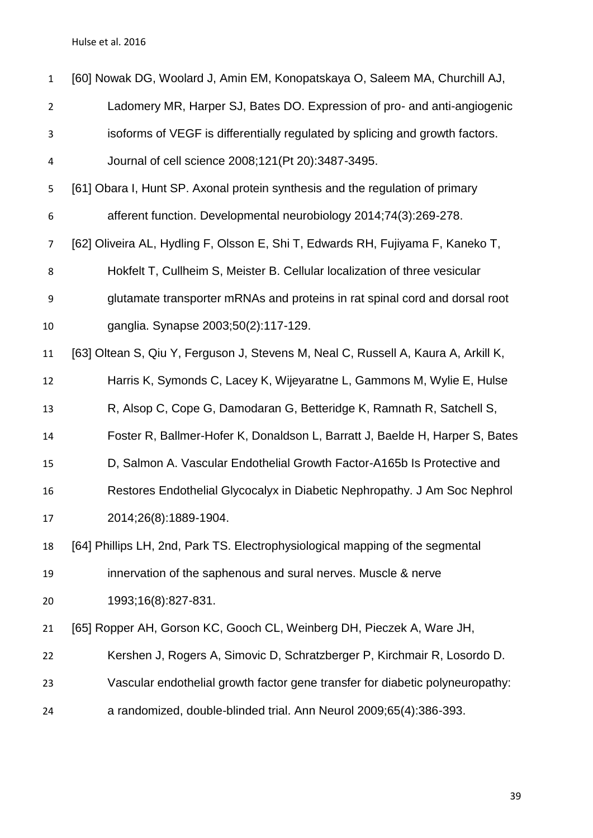<span id="page-38-5"></span><span id="page-38-4"></span><span id="page-38-3"></span><span id="page-38-2"></span><span id="page-38-1"></span><span id="page-38-0"></span>

| $\mathbf{1}$   | [60] Nowak DG, Woolard J, Amin EM, Konopatskaya O, Saleem MA, Churchill AJ,        |
|----------------|------------------------------------------------------------------------------------|
| $\overline{2}$ | Ladomery MR, Harper SJ, Bates DO. Expression of pro- and anti-angiogenic           |
| 3              | isoforms of VEGF is differentially regulated by splicing and growth factors.       |
| 4              | Journal of cell science 2008;121(Pt 20):3487-3495.                                 |
| 5              | [61] Obara I, Hunt SP. Axonal protein synthesis and the regulation of primary      |
| 6              | afferent function. Developmental neurobiology 2014;74(3):269-278.                  |
| $\overline{7}$ | [62] Oliveira AL, Hydling F, Olsson E, Shi T, Edwards RH, Fujiyama F, Kaneko T,    |
| 8              | Hokfelt T, Cullheim S, Meister B. Cellular localization of three vesicular         |
| 9              | glutamate transporter mRNAs and proteins in rat spinal cord and dorsal root        |
| 10             | ganglia. Synapse 2003;50(2):117-129.                                               |
| 11             | [63] Oltean S, Qiu Y, Ferguson J, Stevens M, Neal C, Russell A, Kaura A, Arkill K, |
| 12             | Harris K, Symonds C, Lacey K, Wijeyaratne L, Gammons M, Wylie E, Hulse             |
| 13             | R, Alsop C, Cope G, Damodaran G, Betteridge K, Ramnath R, Satchell S,              |
| 14             | Foster R, Ballmer-Hofer K, Donaldson L, Barratt J, Baelde H, Harper S, Bates       |
| 15             | D, Salmon A. Vascular Endothelial Growth Factor-A165b Is Protective and            |
| 16             | Restores Endothelial Glycocalyx in Diabetic Nephropathy. J Am Soc Nephrol          |
| 17             | 2014;26(8):1889-1904.                                                              |
| 18             | [64] Phillips LH, 2nd, Park TS. Electrophysiological mapping of the segmental      |
| 19             | innervation of the saphenous and sural nerves. Muscle & nerve                      |
| 20             | 1993;16(8):827-831.                                                                |
| 21             | [65] Ropper AH, Gorson KC, Gooch CL, Weinberg DH, Pieczek A, Ware JH,              |
| 22             | Kershen J, Rogers A, Simovic D, Schratzberger P, Kirchmair R, Losordo D.           |
| 23             | Vascular endothelial growth factor gene transfer for diabetic polyneuropathy:      |
| 24             | a randomized, double-blinded trial. Ann Neurol 2009;65(4):386-393.                 |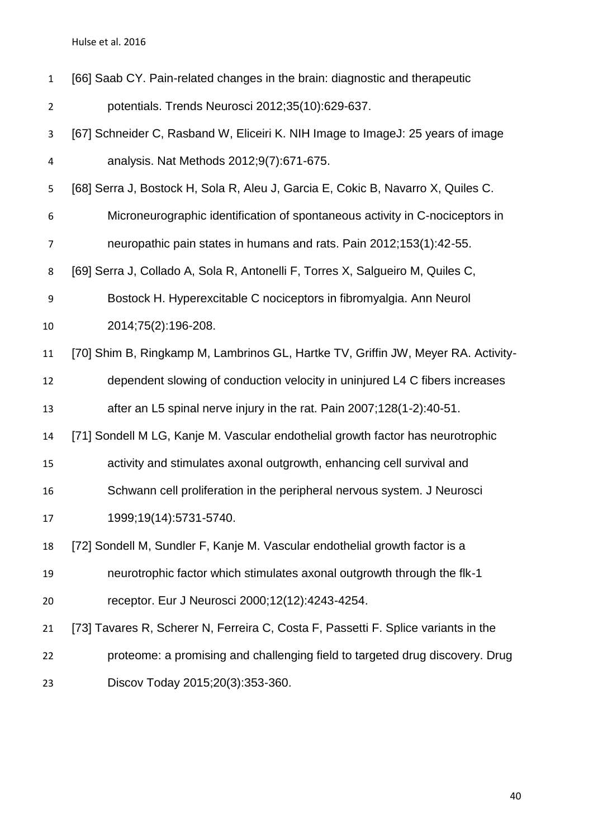<span id="page-39-5"></span><span id="page-39-4"></span><span id="page-39-3"></span><span id="page-39-2"></span><span id="page-39-1"></span><span id="page-39-0"></span>

| $\mathbf{1}$   | [66] Saab CY. Pain-related changes in the brain: diagnostic and therapeutic        |
|----------------|------------------------------------------------------------------------------------|
| $\overline{2}$ | potentials. Trends Neurosci 2012;35(10):629-637.                                   |
| 3              | [67] Schneider C, Rasband W, Eliceiri K. NIH Image to ImageJ: 25 years of image    |
| 4              | analysis. Nat Methods 2012;9(7):671-675.                                           |
| 5              | [68] Serra J, Bostock H, Sola R, Aleu J, Garcia E, Cokic B, Navarro X, Quiles C.   |
| 6              | Microneurographic identification of spontaneous activity in C-nociceptors in       |
| 7              | neuropathic pain states in humans and rats. Pain 2012;153(1):42-55.                |
| 8              | [69] Serra J, Collado A, Sola R, Antonelli F, Torres X, Salgueiro M, Quiles C,     |
| 9              | Bostock H. Hyperexcitable C nociceptors in fibromyalgia. Ann Neurol                |
| 10             | 2014;75(2):196-208.                                                                |
| 11             | [70] Shim B, Ringkamp M, Lambrinos GL, Hartke TV, Griffin JW, Meyer RA. Activity-  |
| 12             | dependent slowing of conduction velocity in uninjured L4 C fibers increases        |
| 13             | after an L5 spinal nerve injury in the rat. Pain 2007;128(1-2):40-51.              |
| 14             | [71] Sondell M LG, Kanje M. Vascular endothelial growth factor has neurotrophic    |
| 15             | activity and stimulates axonal outgrowth, enhancing cell survival and              |
| 16             | Schwann cell proliferation in the peripheral nervous system. J Neurosci            |
| 17             | 1999;19(14):5731-5740.                                                             |
| 18             | [72] Sondell M, Sundler F, Kanje M. Vascular endothelial growth factor is a        |
| 19             | neurotrophic factor which stimulates axonal outgrowth through the flk-1            |
| 20             | receptor. Eur J Neurosci 2000;12(12):4243-4254.                                    |
| 21             | [73] Tavares R, Scherer N, Ferreira C, Costa F, Passetti F. Splice variants in the |
| 22             | proteome: a promising and challenging field to targeted drug discovery. Drug       |
| 23             | Discov Today 2015;20(3):353-360.                                                   |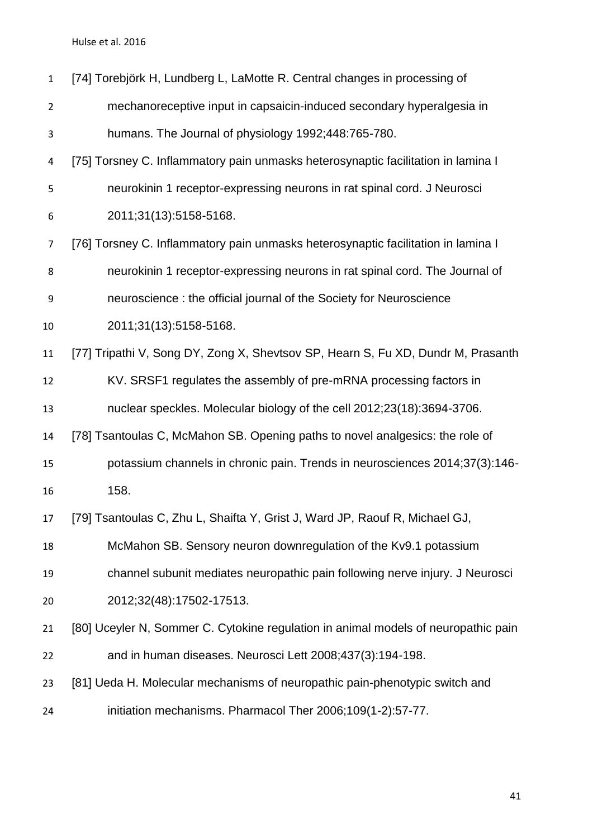<span id="page-40-7"></span><span id="page-40-6"></span><span id="page-40-5"></span><span id="page-40-4"></span><span id="page-40-3"></span><span id="page-40-2"></span><span id="page-40-1"></span><span id="page-40-0"></span>

| $\mathbf{1}$   | [74] Torebjörk H, Lundberg L, LaMotte R. Central changes in processing of          |
|----------------|------------------------------------------------------------------------------------|
|                |                                                                                    |
| $\overline{2}$ | mechanoreceptive input in capsaicin-induced secondary hyperalgesia in              |
| 3              | humans. The Journal of physiology 1992;448:765-780.                                |
| 4              | [75] Torsney C. Inflammatory pain unmasks heterosynaptic facilitation in lamina I  |
| 5              | neurokinin 1 receptor-expressing neurons in rat spinal cord. J Neurosci            |
| 6              | 2011;31(13):5158-5168.                                                             |
| $\overline{7}$ | [76] Torsney C. Inflammatory pain unmasks heterosynaptic facilitation in lamina I  |
| 8              | neurokinin 1 receptor-expressing neurons in rat spinal cord. The Journal of        |
| 9              | neuroscience: the official journal of the Society for Neuroscience                 |
| 10             | 2011;31(13):5158-5168.                                                             |
| 11             | [77] Tripathi V, Song DY, Zong X, Shevtsov SP, Hearn S, Fu XD, Dundr M, Prasanth   |
| 12             | KV. SRSF1 regulates the assembly of pre-mRNA processing factors in                 |
| 13             | nuclear speckles. Molecular biology of the cell 2012;23(18):3694-3706.             |
| 14             | [78] Tsantoulas C, McMahon SB. Opening paths to novel analgesics: the role of      |
| 15             | potassium channels in chronic pain. Trends in neurosciences 2014;37(3):146-        |
| 16             | 158.                                                                               |
| 17             | [79] Tsantoulas C, Zhu L, Shaifta Y, Grist J, Ward JP, Raouf R, Michael GJ,        |
| 18             | McMahon SB. Sensory neuron downregulation of the Kv9.1 potassium                   |
| 19             | channel subunit mediates neuropathic pain following nerve injury. J Neurosci       |
| 20             | 2012;32(48):17502-17513.                                                           |
| 21             | [80] Uceyler N, Sommer C. Cytokine regulation in animal models of neuropathic pain |
| 22             | and in human diseases. Neurosci Lett 2008;437(3):194-198.                          |
| 23             | [81] Ueda H. Molecular mechanisms of neuropathic pain-phenotypic switch and        |
| 24             | initiation mechanisms. Pharmacol Ther 2006;109(1-2):57-77.                         |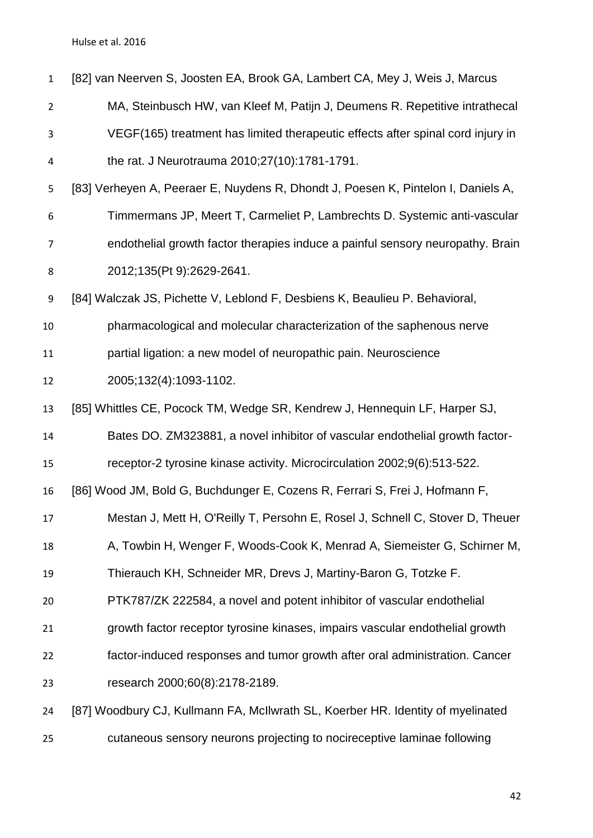<span id="page-41-5"></span><span id="page-41-4"></span><span id="page-41-3"></span><span id="page-41-2"></span><span id="page-41-1"></span><span id="page-41-0"></span>

| $\mathbf{1}$   | [82] van Neerven S, Joosten EA, Brook GA, Lambert CA, Mey J, Weis J, Marcus       |
|----------------|-----------------------------------------------------------------------------------|
| $\overline{2}$ | MA, Steinbusch HW, van Kleef M, Patijn J, Deumens R. Repetitive intrathecal       |
| 3              | VEGF(165) treatment has limited therapeutic effects after spinal cord injury in   |
| 4              | the rat. J Neurotrauma 2010;27(10):1781-1791.                                     |
| 5              | [83] Verheyen A, Peeraer E, Nuydens R, Dhondt J, Poesen K, Pintelon I, Daniels A, |
| 6              | Timmermans JP, Meert T, Carmeliet P, Lambrechts D. Systemic anti-vascular         |
| $\overline{7}$ | endothelial growth factor therapies induce a painful sensory neuropathy. Brain    |
| 8              | 2012;135(Pt 9):2629-2641.                                                         |
| 9              | [84] Walczak JS, Pichette V, Leblond F, Desbiens K, Beaulieu P. Behavioral,       |
| 10             | pharmacological and molecular characterization of the saphenous nerve             |
| 11             | partial ligation: a new model of neuropathic pain. Neuroscience                   |
| 12             | 2005;132(4):1093-1102.                                                            |
| 13             | [85] Whittles CE, Pocock TM, Wedge SR, Kendrew J, Hennequin LF, Harper SJ,        |
| 14             | Bates DO. ZM323881, a novel inhibitor of vascular endothelial growth factor-      |
| 15             | receptor-2 tyrosine kinase activity. Microcirculation 2002;9(6):513-522.          |
| 16             | [86] Wood JM, Bold G, Buchdunger E, Cozens R, Ferrari S, Frei J, Hofmann F,       |
| 17             | Mestan J, Mett H, O'Reilly T, Persohn E, Rosel J, Schnell C, Stover D, Theuer     |
| 18             | A, Towbin H, Wenger F, Woods-Cook K, Menrad A, Siemeister G, Schirner M,          |
| 19             | Thierauch KH, Schneider MR, Drevs J, Martiny-Baron G, Totzke F.                   |
| 20             | PTK787/ZK 222584, a novel and potent inhibitor of vascular endothelial            |
| 21             | growth factor receptor tyrosine kinases, impairs vascular endothelial growth      |
| 22             | factor-induced responses and tumor growth after oral administration. Cancer       |
| 23             | research 2000;60(8):2178-2189.                                                    |
| 24             | [87] Woodbury CJ, Kullmann FA, McIlwrath SL, Koerber HR. Identity of myelinated   |
| 25             | cutaneous sensory neurons projecting to nocireceptive laminae following           |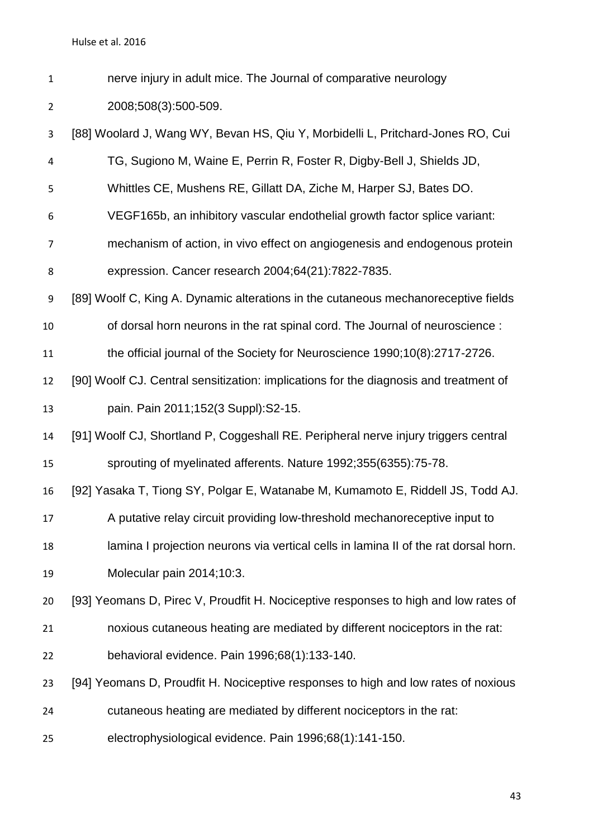nerve injury in adult mice. The Journal of comparative neurology

2008;508(3):500-509.

<span id="page-42-6"></span><span id="page-42-5"></span><span id="page-42-4"></span><span id="page-42-3"></span><span id="page-42-2"></span><span id="page-42-1"></span><span id="page-42-0"></span> [88] Woolard J, Wang WY, Bevan HS, Qiu Y, Morbidelli L, Pritchard-Jones RO, Cui TG, Sugiono M, Waine E, Perrin R, Foster R, Digby-Bell J, Shields JD, Whittles CE, Mushens RE, Gillatt DA, Ziche M, Harper SJ, Bates DO. VEGF165b, an inhibitory vascular endothelial growth factor splice variant: mechanism of action, in vivo effect on angiogenesis and endogenous protein expression. Cancer research 2004;64(21):7822-7835. [89] Woolf C, King A. Dynamic alterations in the cutaneous mechanoreceptive fields of dorsal horn neurons in the rat spinal cord. The Journal of neuroscience : the official journal of the Society for Neuroscience 1990;10(8):2717-2726. [90] Woolf CJ. Central sensitization: implications for the diagnosis and treatment of pain. Pain 2011;152(3 Suppl):S2-15. [91] Woolf CJ, Shortland P, Coggeshall RE. Peripheral nerve injury triggers central sprouting of myelinated afferents. Nature 1992;355(6355):75-78. [92] Yasaka T, Tiong SY, Polgar E, Watanabe M, Kumamoto E, Riddell JS, Todd AJ. A putative relay circuit providing low-threshold mechanoreceptive input to lamina I projection neurons via vertical cells in lamina II of the rat dorsal horn. Molecular pain 2014;10:3. [93] Yeomans D, Pirec V, Proudfit H. Nociceptive responses to high and low rates of noxious cutaneous heating are mediated by different nociceptors in the rat: behavioral evidence. Pain 1996;68(1):133-140. [94] Yeomans D, Proudfit H. Nociceptive responses to high and low rates of noxious cutaneous heating are mediated by different nociceptors in the rat: electrophysiological evidence. Pain 1996;68(1):141-150.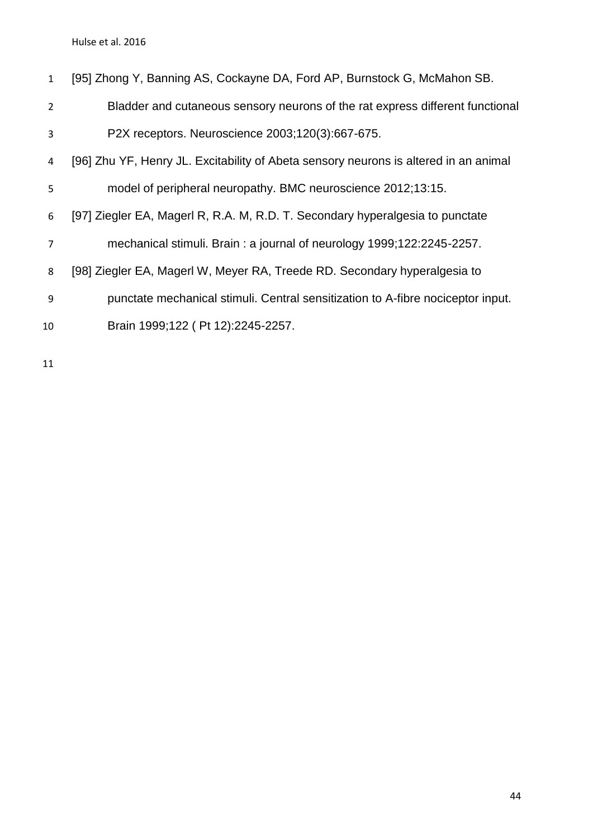<span id="page-43-3"></span><span id="page-43-2"></span><span id="page-43-1"></span><span id="page-43-0"></span>

| $\mathbf{1}$   | [95] Zhong Y, Banning AS, Cockayne DA, Ford AP, Burnstock G, McMahon SB.             |
|----------------|--------------------------------------------------------------------------------------|
| $\overline{2}$ | Bladder and cutaneous sensory neurons of the rat express different functional        |
| 3              | P2X receptors. Neuroscience 2003;120(3):667-675.                                     |
| 4              | [96] Zhu YF, Henry JL. Excitability of Abeta sensory neurons is altered in an animal |
| 5              | model of peripheral neuropathy. BMC neuroscience 2012;13:15.                         |
| 6              | [97] Ziegler EA, Magerl R, R.A. M, R.D. T. Secondary hyperalgesia to punctate        |
| $\overline{7}$ | mechanical stimuli. Brain: a journal of neurology 1999;122:2245-2257.                |
| 8              | [98] Ziegler EA, Magerl W, Meyer RA, Treede RD. Secondary hyperalgesia to            |
| 9              | punctate mechanical stimuli. Central sensitization to A-fibre nociceptor input.      |
| 10             | Brain 1999;122 (Pt 12):2245-2257.                                                    |
|                |                                                                                      |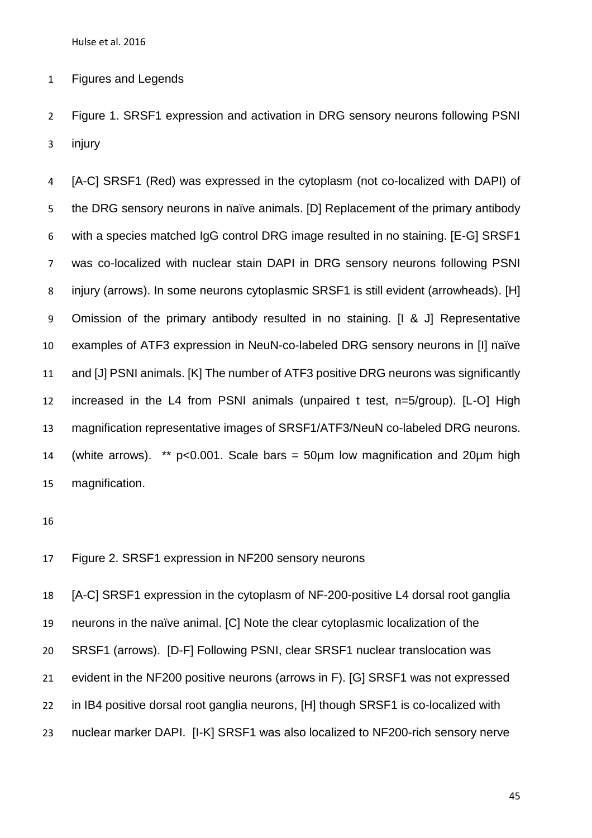Figures and Legends

 Figure 1. SRSF1 expression and activation in DRG sensory neurons following PSNI injury

 [A-C] SRSF1 (Red) was expressed in the cytoplasm (not co-localized with DAPI) of the DRG sensory neurons in naïve animals. [D] Replacement of the primary antibody with a species matched IgG control DRG image resulted in no staining. [E-G] SRSF1 was co-localized with nuclear stain DAPI in DRG sensory neurons following PSNI injury (arrows). In some neurons cytoplasmic SRSF1 is still evident (arrowheads). [H] Omission of the primary antibody resulted in no staining. [I & J] Representative examples of ATF3 expression in NeuN-co-labeled DRG sensory neurons in [I] naïve and [J] PSNI animals. [K] The number of ATF3 positive DRG neurons was significantly increased in the L4 from PSNI animals (unpaired t test, n=5/group). [L-O] High magnification representative images of SRSF1/ATF3/NeuN co-labeled DRG neurons. 14 (white arrows). \*\*  $p < 0.001$ . Scale bars = 50 $\mu$ m low magnification and 20 $\mu$ m high magnification.

Figure 2. SRSF1 expression in NF200 sensory neurons

 [A-C] SRSF1 expression in the cytoplasm of NF-200-positive L4 dorsal root ganglia neurons in the naïve animal. [C] Note the clear cytoplasmic localization of the SRSF1 (arrows). [D-F] Following PSNI, clear SRSF1 nuclear translocation was evident in the NF200 positive neurons (arrows in F). [G] SRSF1 was not expressed in IB4 positive dorsal root ganglia neurons, [H] though SRSF1 is co-localized with nuclear marker DAPI. [I-K] SRSF1 was also localized to NF200-rich sensory nerve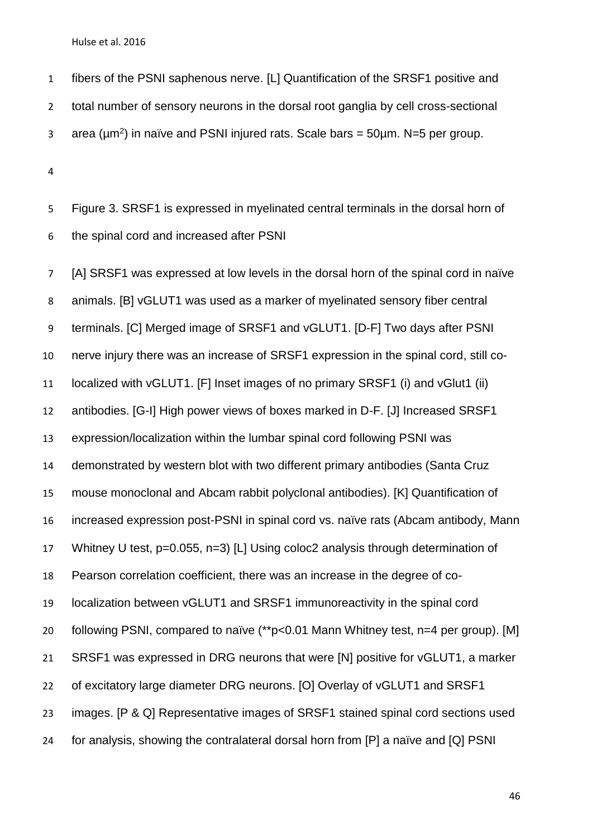fibers of the PSNI saphenous nerve. [L] Quantification of the SRSF1 positive and total number of sensory neurons in the dorsal root ganglia by cell cross-sectional area ( $\mu$ m<sup>2</sup>) in naïve and PSNI injured rats. Scale bars = 50 $\mu$ m. N=5 per group.

 Figure 3. SRSF1 is expressed in myelinated central terminals in the dorsal horn of the spinal cord and increased after PSNI

 [A] SRSF1 was expressed at low levels in the dorsal horn of the spinal cord in naïve animals. [B] vGLUT1 was used as a marker of myelinated sensory fiber central terminals. [C] Merged image of SRSF1 and vGLUT1. [D-F] Two days after PSNI nerve injury there was an increase of SRSF1 expression in the spinal cord, still co- localized with vGLUT1. [F] Inset images of no primary SRSF1 (i) and vGlut1 (ii) antibodies. [G-I] High power views of boxes marked in D-F. [J] Increased SRSF1 expression/localization within the lumbar spinal cord following PSNI was demonstrated by western blot with two different primary antibodies (Santa Cruz mouse monoclonal and Abcam rabbit polyclonal antibodies). [K] Quantification of increased expression post-PSNI in spinal cord vs. naïve rats (Abcam antibody, Mann Whitney U test, p=0.055, n=3) [L] Using coloc2 analysis through determination of Pearson correlation coefficient, there was an increase in the degree of co- localization between vGLUT1 and SRSF1 immunoreactivity in the spinal cord following PSNI, compared to naïve (\*\*p<0.01 Mann Whitney test, n=4 per group). [M] SRSF1 was expressed in DRG neurons that were [N] positive for vGLUT1, a marker 22 of excitatory large diameter DRG neurons. [O] Overlay of vGLUT1 and SRSF1 images. [P & Q] Representative images of SRSF1 stained spinal cord sections used for analysis, showing the contralateral dorsal horn from [P] a naïve and [Q] PSNI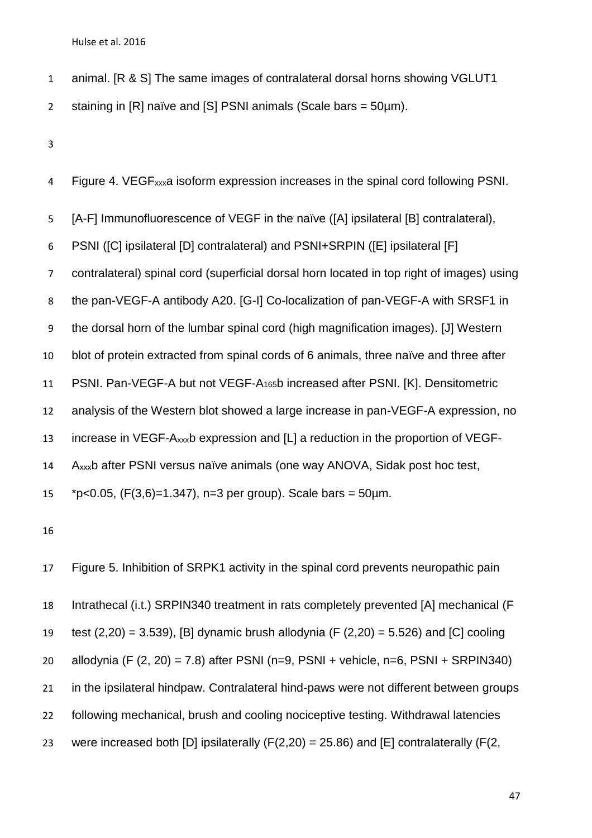animal. [R & S] The same images of contralateral dorsal horns showing VGLUT1

2 staining in  $[R]$  naïve and  $[S]$  PSNI animals (Scale bars = 50 $\mu$ m).

Figure 4. VEGFxxxa isoform expression increases in the spinal cord following PSNI.

[A-F] Immunofluorescence of VEGF in the naïve ([A] ipsilateral [B] contralateral),

PSNI ([C] ipsilateral [D] contralateral) and PSNI+SRPIN ([E] ipsilateral [F]

contralateral) spinal cord (superficial dorsal horn located in top right of images) using

the pan-VEGF-A antibody A20. [G-I] Co-localization of pan-VEGF-A with SRSF1 in

the dorsal horn of the lumbar spinal cord (high magnification images). [J] Western

blot of protein extracted from spinal cords of 6 animals, three naïve and three after

PSNI. Pan-VEGF-A but not VEGF-A165b increased after PSNI. [K]. Densitometric

analysis of the Western blot showed a large increase in pan-VEGF-A expression, no

increase in VEGF-Axxxb expression and [L] a reduction in the proportion of VEGF-

Axxxb after PSNI versus naïve animals (one way ANOVA, Sidak post hoc test,

15  $*p<0.05$ , (F(3,6)=1.347), n=3 per group). Scale bars = 50 $\mu$ m.

 Figure 5. Inhibition of SRPK1 activity in the spinal cord prevents neuropathic pain Intrathecal (i.t.) SRPIN340 treatment in rats completely prevented [A] mechanical (F 19 test  $(2,20) = 3.539$ , [B] dynamic brush allodynia (F  $(2,20) = 5.526$ ) and [C] cooling 20 allodynia (F  $(2, 20) = 7.8$ ) after PSNI  $(n=9, PSNI + vehicle, n=6, PSNI + SRPIN340)$  in the ipsilateral hindpaw. Contralateral hind-paws were not different between groups following mechanical, brush and cooling nociceptive testing. Withdrawal latencies 23 were increased both [D] ipsilaterally  $(F(2,20) = 25.86)$  and [E] contralaterally  $(F(2,$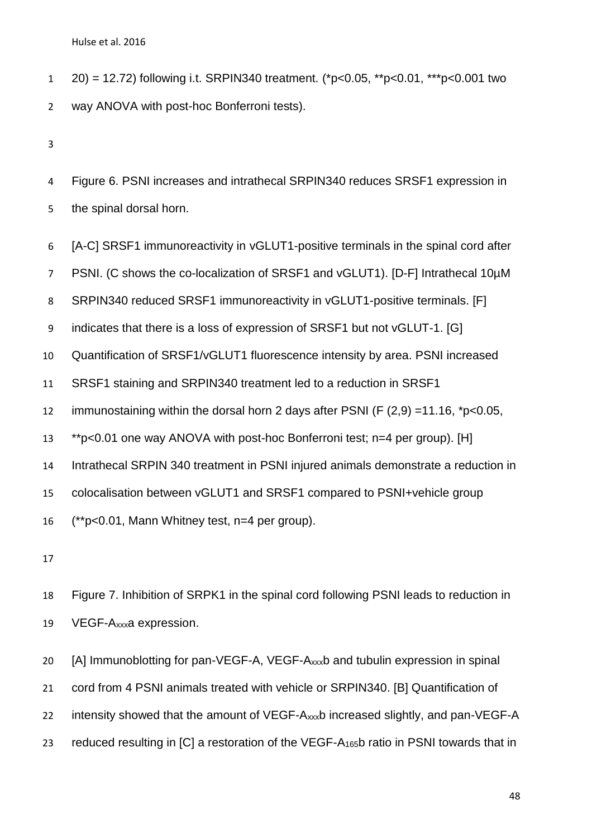- 20) = 12.72) following i.t. SRPIN340 treatment. (\*p<0.05, \*\*p<0.01, \*\*\*p<0.001 two way ANOVA with post-hoc Bonferroni tests).
- 

 Figure 6. PSNI increases and intrathecal SRPIN340 reduces SRSF1 expression in the spinal dorsal horn.

[A-C] SRSF1 immunoreactivity in vGLUT1-positive terminals in the spinal cord after

7 PSNI. (C shows the co-localization of SRSF1 and vGLUT1). [D-F] Intrathecal 10µM

8 SRPIN340 reduced SRSF1 immunoreactivity in vGLUT1-positive terminals. [F]

indicates that there is a loss of expression of SRSF1 but not vGLUT-1. [G]

Quantification of SRSF1/vGLUT1 fluorescence intensity by area. PSNI increased

SRSF1 staining and SRPIN340 treatment led to a reduction in SRSF1

immunostaining within the dorsal horn 2 days after PSNI (F (2,9) =11.16, \*p<0.05,

\*\*p<0.01 one way ANOVA with post-hoc Bonferroni test; n=4 per group). [H]

Intrathecal SRPIN 340 treatment in PSNI injured animals demonstrate a reduction in

colocalisation between vGLUT1 and SRSF1 compared to PSNI+vehicle group

(\*\*p<0.01, Mann Whitney test, n=4 per group).

 Figure 7. Inhibition of SRPK1 in the spinal cord following PSNI leads to reduction in VEGF-Axxxa expression.

 [A] Immunoblotting for pan-VEGF-A, VEGF-Axxxb and tubulin expression in spinal cord from 4 PSNI animals treated with vehicle or SRPIN340. [B] Quantification of 22 intensity showed that the amount of VEGF-Axxxb increased slightly, and pan-VEGF-A 23 reduced resulting in [C] a restoration of the VEGF-A $_{165}$ b ratio in PSNI towards that in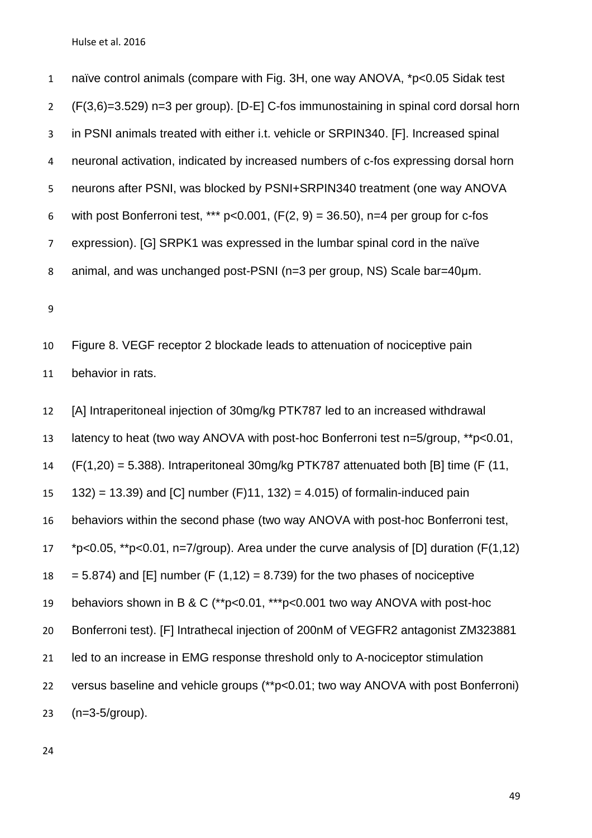naïve control animals (compare with Fig. 3H, one way ANOVA, \*p<0.05 Sidak test (F(3,6)=3.529) n=3 per group). [D-E] C-fos immunostaining in spinal cord dorsal horn in PSNI animals treated with either i.t. vehicle or SRPIN340. [F]. Increased spinal neuronal activation, indicated by increased numbers of c-fos expressing dorsal horn neurons after PSNI, was blocked by PSNI+SRPIN340 treatment (one way ANOVA 6 with post Bonferroni test, \*\*\*  $p < 0.001$ ,  $(F(2, 9) = 36.50)$ , n=4 per group for c-fos expression). [G] SRPK1 was expressed in the lumbar spinal cord in the naïve animal, and was unchanged post-PSNI (n=3 per group, NS) Scale bar=40μm.

 Figure 8. VEGF receptor 2 blockade leads to attenuation of nociceptive pain behavior in rats.

 [A] Intraperitoneal injection of 30mg/kg PTK787 led to an increased withdrawal latency to heat (two way ANOVA with post-hoc Bonferroni test n=5/group, \*\*p<0.01, (F(1,20) = 5.388). Intraperitoneal 30mg/kg PTK787 attenuated both [B] time (F (11, = 13.39) and [C] number (F)11, 132) = 4.015) of formalin-induced pain behaviors within the second phase (two way ANOVA with post-hoc Bonferroni test, \*p<0.05, \*\*p<0.01, n=7/group). Area under the curve analysis of [D] duration (F(1,12)  $18 = 5.874$ ) and [E] number (F (1,12) = 8.739) for the two phases of nociceptive behaviors shown in B & C (\*\*p<0.01, \*\*\*p<0.001 two way ANOVA with post-hoc Bonferroni test). [F] Intrathecal injection of 200nM of VEGFR2 antagonist ZM323881 21 led to an increase in EMG response threshold only to A-nociceptor stimulation versus baseline and vehicle groups (\*\*p<0.01; two way ANOVA with post Bonferroni) (n=3-5/group).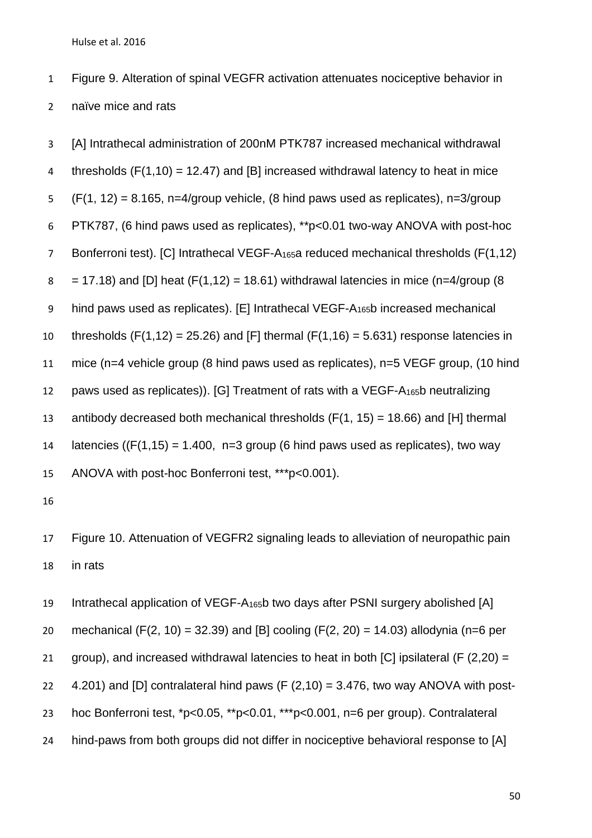Figure 9. Alteration of spinal VEGFR activation attenuates nociceptive behavior in naïve mice and rats

 [A] Intrathecal administration of 200nM PTK787 increased mechanical withdrawal 4 thresholds  $(F(1,10) = 12.47)$  and [B] increased withdrawal latency to heat in mice  $(F(1, 12) = 8.165, n=4$ /group vehicle, (8 hind paws used as replicates), n=3/group PTK787, (6 hind paws used as replicates), \*\*p<0.01 two-way ANOVA with post-hoc Bonferroni test). [C] Intrathecal VEGF-A165a reduced mechanical thresholds (F(1,12)  $8 = 17.18$ ) and [D] heat (F(1,12) = 18.61) withdrawal latencies in mice (n=4/group (8) hind paws used as replicates). [E] Intrathecal VEGF-A165b increased mechanical 10 thresholds  $(F(1, 12) = 25.26)$  and  $[F]$  thermal  $(F(1, 16) = 5.631)$  response latencies in mice (n=4 vehicle group (8 hind paws used as replicates), n=5 VEGF group, (10 hind paws used as replicates)). [G] Treatment of rats with a VEGF-A165b neutralizing 13 antibody decreased both mechanical thresholds  $(F(1, 15) = 18.66)$  and [H] thermal 14 latencies ( $(F(1,15) = 1.400, n=3$  group (6 hind paws used as replicates), two way ANOVA with post-hoc Bonferroni test, \*\*\*p<0.001).

 Figure 10. Attenuation of VEGFR2 signaling leads to alleviation of neuropathic pain in rats

 Intrathecal application of VEGF-A165b two days after PSNI surgery abolished [A] 20 mechanical (F(2, 10) = 32.39) and [B] cooling (F(2, 20) = 14.03) allodynia (n=6 per 21 group), and increased withdrawal latencies to heat in both [C] ipsilateral (F  $(2,20)$  =  $4.201$ ) and [D] contralateral hind paws (F  $(2,10) = 3.476$ , two way ANOVA with post- hoc Bonferroni test, \*p<0.05, \*\*p<0.01, \*\*\*p<0.001, n=6 per group). Contralateral hind-paws from both groups did not differ in nociceptive behavioral response to [A]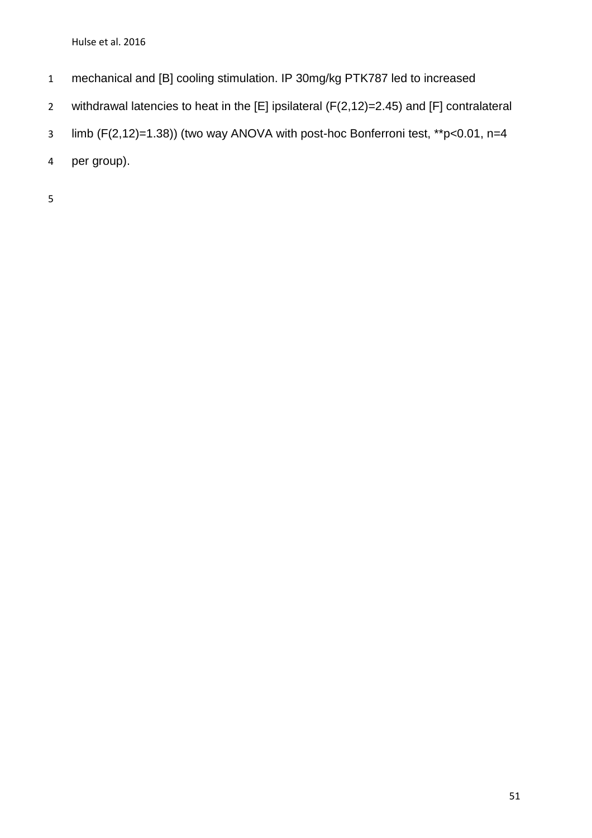- mechanical and [B] cooling stimulation. IP 30mg/kg PTK787 led to increased
- withdrawal latencies to heat in the [E] ipsilateral (F(2,12)=2.45) and [F] contralateral
- limb (F(2,12)=1.38)) (two way ANOVA with post-hoc Bonferroni test, \*\*p<0.01, n=4
- per group).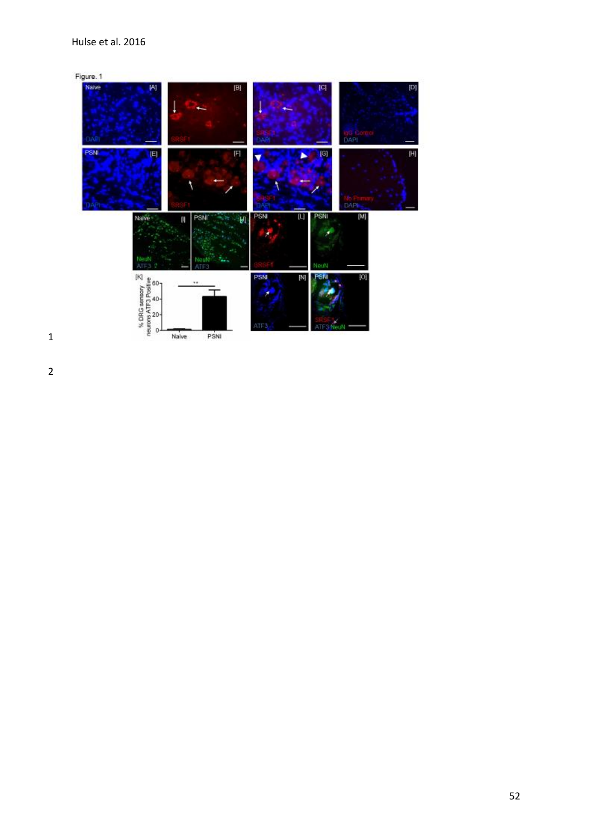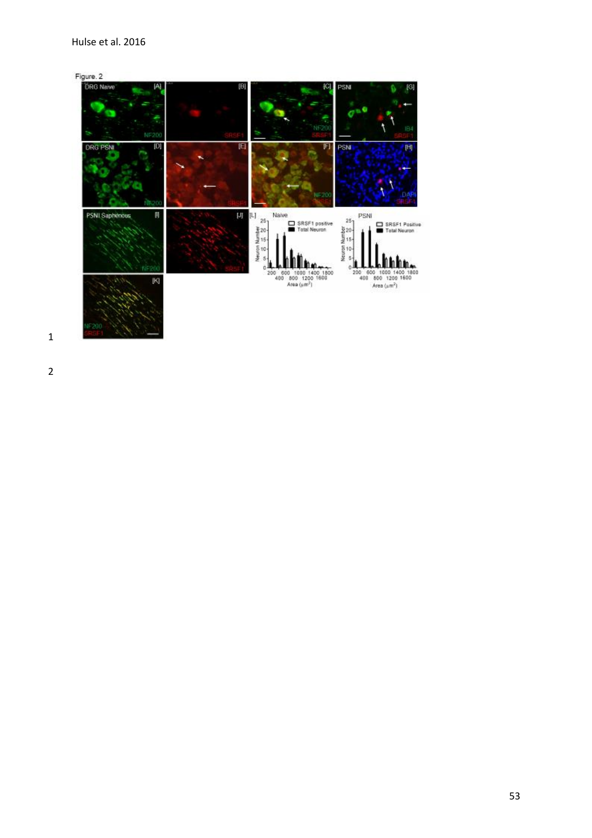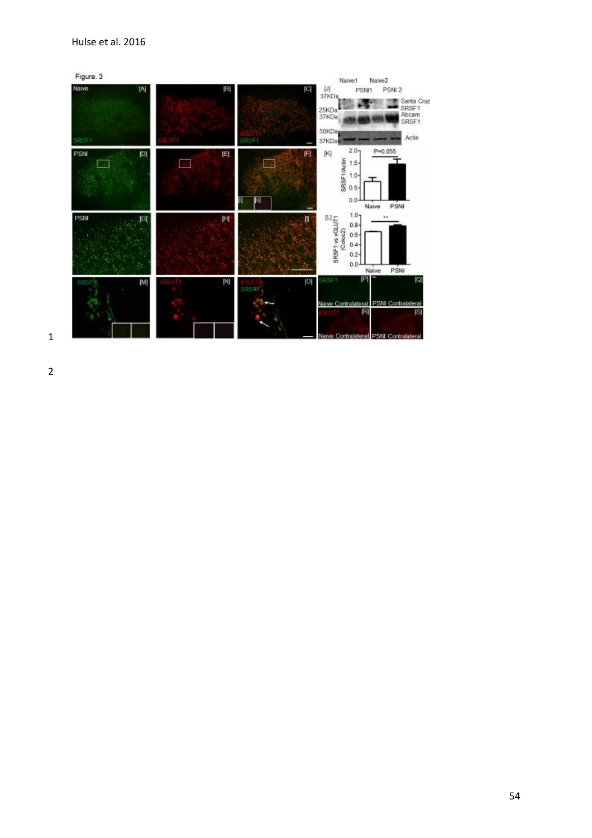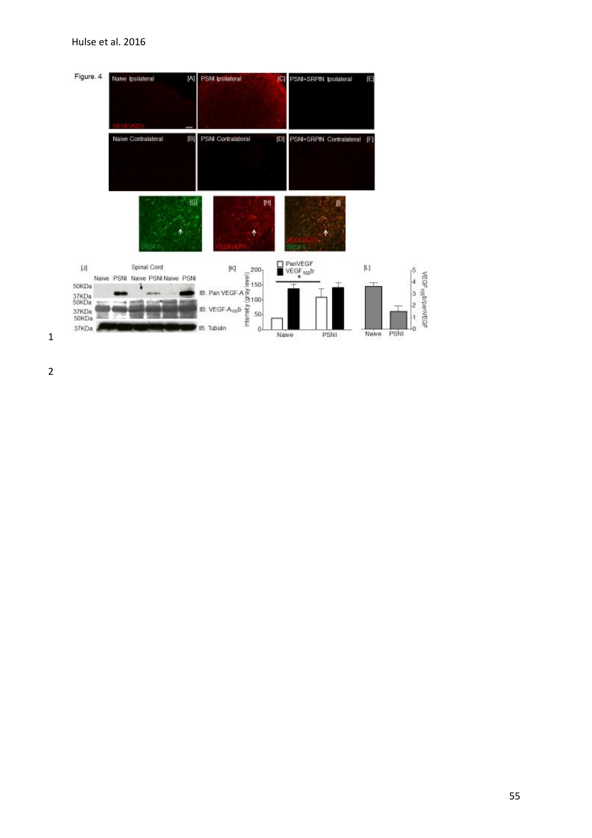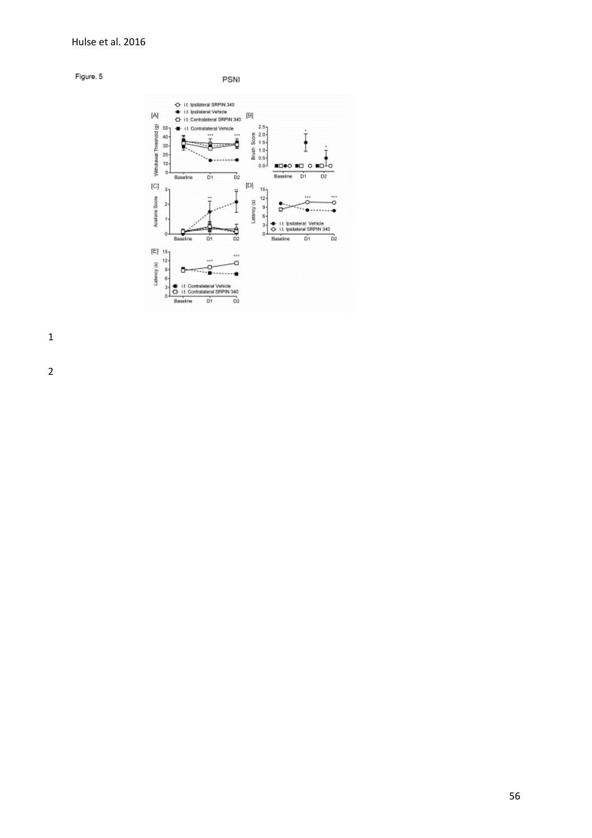



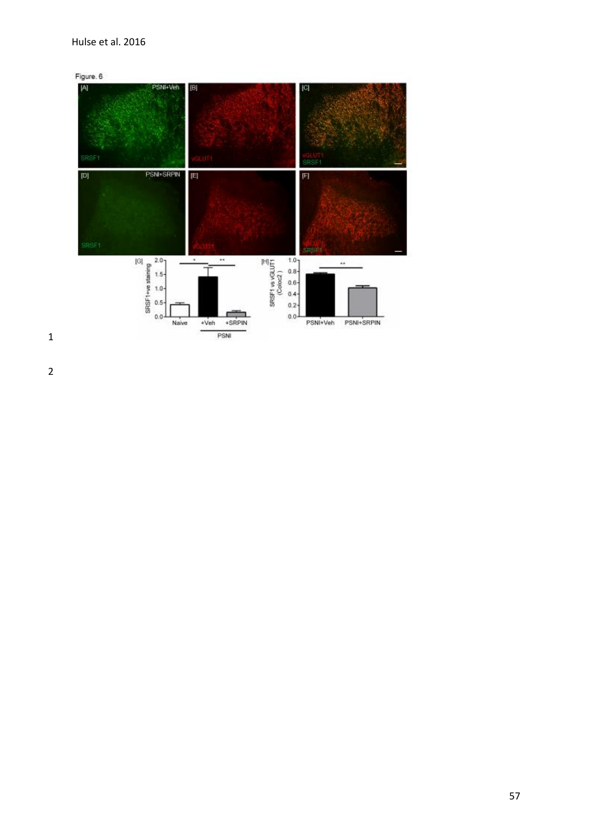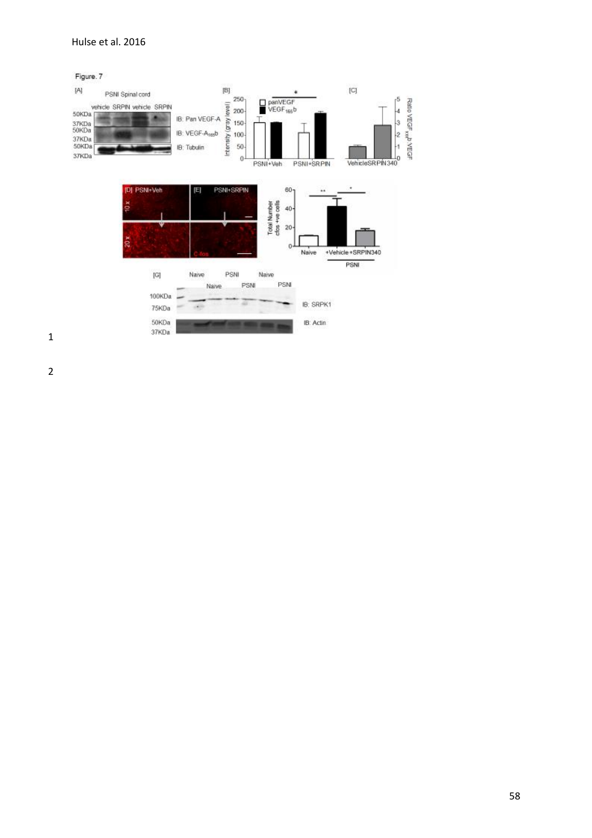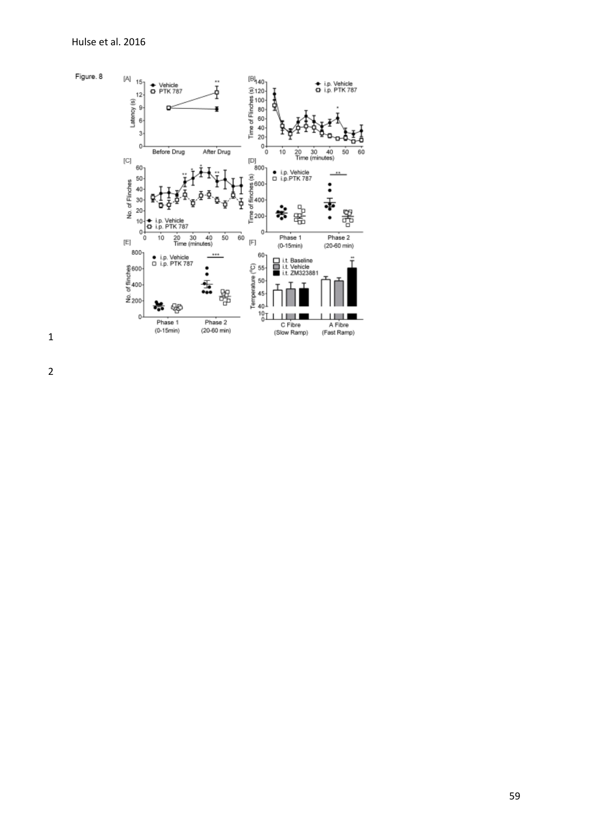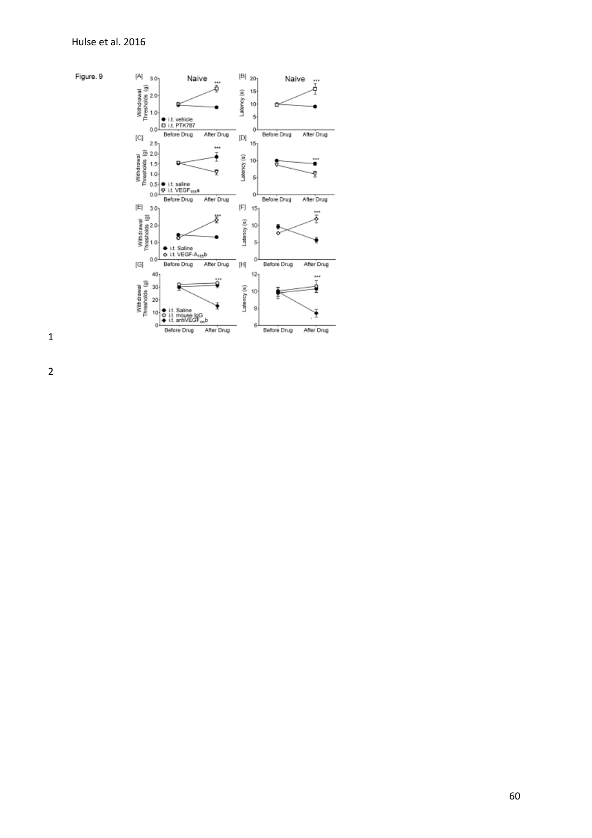